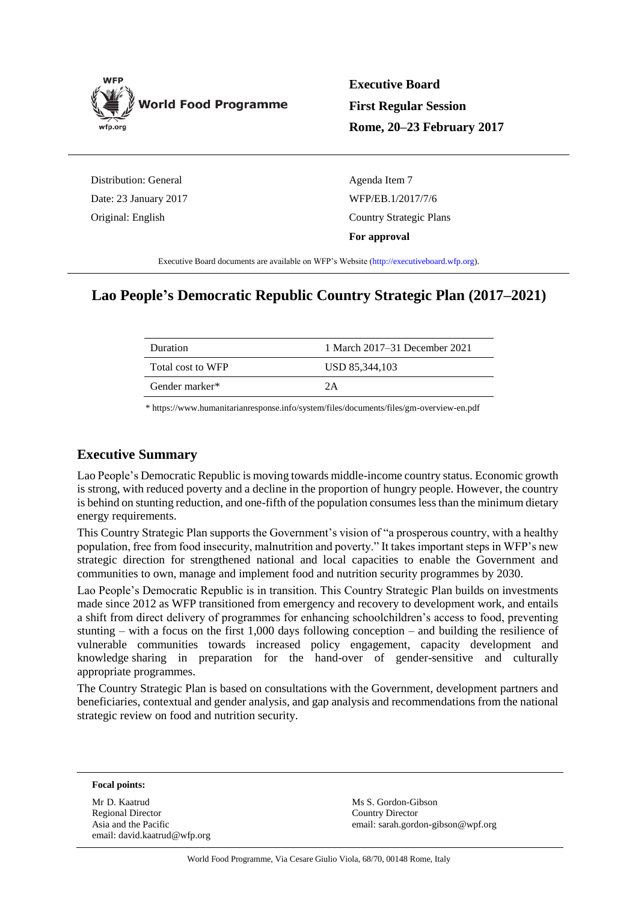

**Executive Board First Regular Session Rome, 20–23 February 2017**

Distribution: General Date: 23 January 2017 Original: English

Agenda Item 7 WFP/EB.1/2017/7/6 Country Strategic Plans **For approval**

Executive Board documents are available on WFP's Website [\(http://executiveboard.wfp.org\)](http://executiveboard.wfp.org/home).

## **Lao People's Democratic Republic Country Strategic Plan (2017–2021)**

| Duration          | 1 March 2017–31 December 2021 |
|-------------------|-------------------------------|
| Total cost to WFP | USD 85,344,103                |
| Gender marker*    | 2 A                           |

[\\* https://www.humanitarianresponse.info/system/files/documents/files/gm-overview-en.pdf](https://www.humanitarianresponse.info/system/files/documents/files/gm-overview-en.pdf)

## **Executive Summary**

Lao People's Democratic Republic is moving towards middle-income country status. Economic growth is strong, with reduced poverty and a decline in the proportion of hungry people. However, the country is behind on stunting reduction, and one-fifth of the population consumes less than the minimum dietary energy requirements.

This Country Strategic Plan supports the Government's vision of "a prosperous country, with a healthy population, free from food insecurity, malnutrition and poverty." It takes important steps in WFP's new strategic direction for strengthened national and local capacities to enable the Government and communities to own, manage and implement food and nutrition security programmes by 2030.

Lao People's Democratic Republic is in transition. This Country Strategic Plan builds on investments made since 2012 as WFP transitioned from emergency and recovery to development work, and entails a shift from direct delivery of programmes for enhancing schoolchildren's access to food, preventing stunting – with a focus on the first 1,000 days following conception – and building the resilience of vulnerable communities towards increased policy engagement, capacity development and knowledge sharing in preparation for the hand-over of gender-sensitive and culturally appropriate programmes.

The Country Strategic Plan is based on consultations with the Government, development partners and beneficiaries, contextual and gender analysis, and gap analysis and recommendations from the national strategic review on food and nutrition security.

**Focal points:**

Mr D. Kaatrud Regional Director Asia and the Pacific email: david.kaatrud@wfp.org Ms S. Gordon-Gibson Country Director email: sarah.gordon-gibson@wpf.org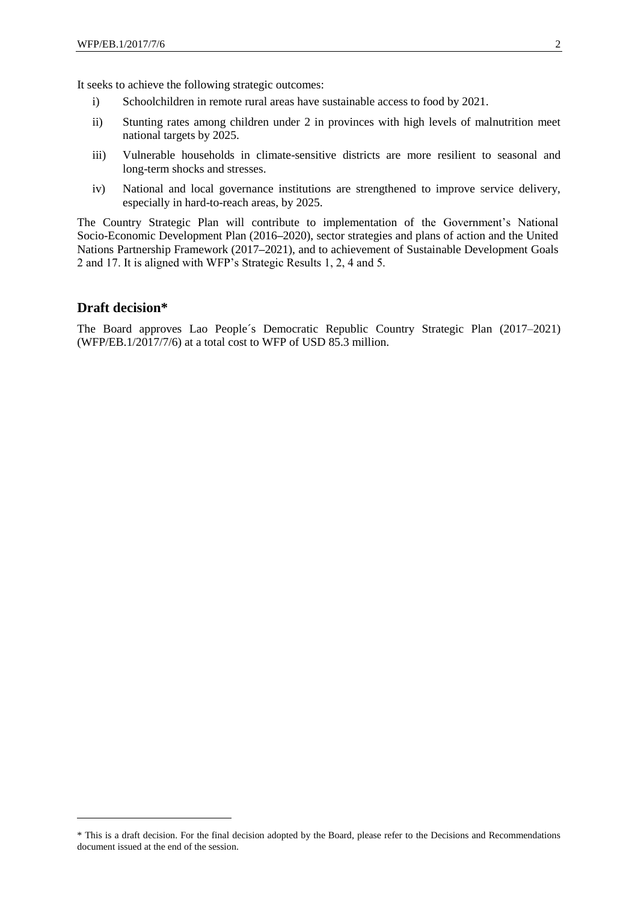It seeks to achieve the following strategic outcomes:

- i) Schoolchildren in remote rural areas have sustainable access to food by 2021.
- ii) Stunting rates among children under 2 in provinces with high levels of malnutrition meet national targets by 2025.
- iii) Vulnerable households in climate-sensitive districts are more resilient to seasonal and long-term shocks and stresses.
- iv) National and local governance institutions are strengthened to improve service delivery, especially in hard-to-reach areas, by 2025.

The Country Strategic Plan will contribute to implementation of the Government's National Socio-Economic Development Plan (2016**–**2020), sector strategies and plans of action and the United Nations Partnership Framework (2017**–**2021), and to achievement of Sustainable Development Goals 2 and 17. It is aligned with WFP's Strategic Results 1, 2, 4 and 5.

#### **Draft decision\***

-

The Board approves Lao People´s Democratic Republic Country Strategic Plan (2017–2021) (WFP/EB.1/2017/7/6) at a total cost to WFP of USD 85.3 million.

<sup>\*</sup> This is a draft decision. For the final decision adopted by the Board, please refer to the Decisions and Recommendations document issued at the end of the session.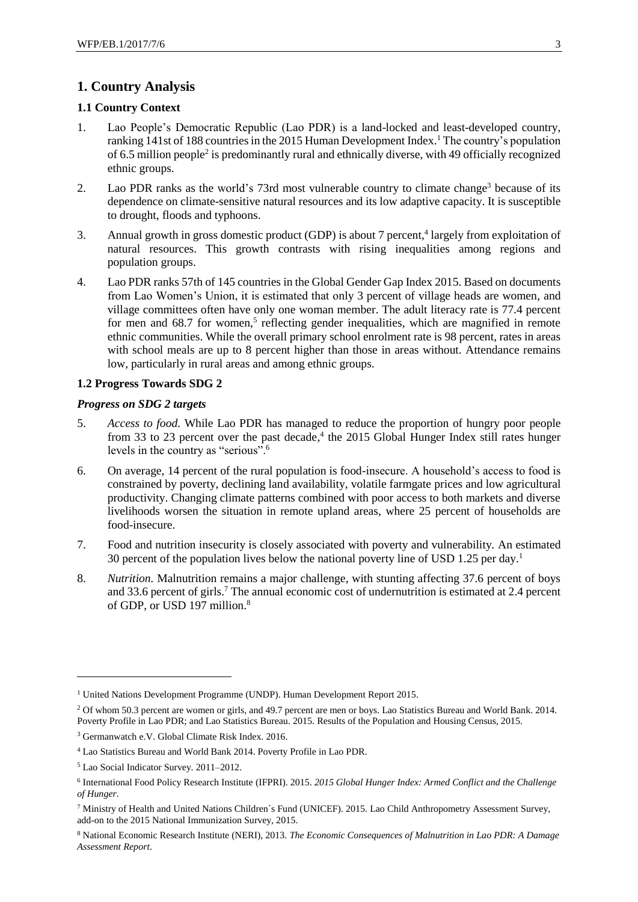## **1. Country Analysis**

#### **1.1 Country Context**

- <span id="page-2-0"></span>1. Lao People's Democratic Republic (Lao PDR) is a land-locked and least-developed country, ranking 141st of 188 countries in the 2015 Human Development Index. <sup>1</sup> The country's population of 6.5 million people<sup>2</sup> is predominantly rural and ethnically diverse, with 49 officially recognized ethnic groups.
- 2. Lao PDR ranks as the world's 73rd most vulnerable country to climate change<sup>3</sup> because of its dependence on climate-sensitive natural resources and its low adaptive capacity. It is susceptible to drought, floods and typhoons.
- 3. Annual growth in gross domestic product (GDP) is about 7 percent, 4 largely from exploitation of natural resources. This growth contrasts with rising inequalities among regions and population groups.
- <span id="page-2-1"></span>4. Lao PDR ranks 57th of 145 countries in the Global Gender Gap Index 2015. Based on documents from Lao Women's Union, it is estimated that only 3 percent of village heads are women, and village committees often have only one woman member. The adult literacy rate is 77.4 percent for men and 68.7 for women,<sup>5</sup> reflecting gender inequalities, which are magnified in remote ethnic communities. While the overall primary school enrolment rate is 98 percent, rates in areas with school meals are up to 8 percent higher than those in areas without. Attendance remains low, particularly in rural areas and among ethnic groups.

#### **1.2 Progress Towards SDG 2**

#### *Progress on SDG 2 targets*

- 5. *Access to food.* While Lao PDR has managed to reduce the proportion of hungry poor people from 33 to 23 percent over the past decade,<sup>4</sup> the 2015 Global Hunger Index still rates hunger levels in the country as "serious".<sup>6</sup>
- 6. On average, 14 percent of the rural population is food-insecure. A household's access to food is constrained by poverty, declining land availability, volatile farmgate prices and low agricultural productivity. Changing climate patterns combined with poor access to both markets and diverse livelihoods worsen the situation in remote upland areas, where 25 percent of households are food-insecure.
- 7. Food and nutrition insecurity is closely associated with poverty and vulnerability. An estimated 30 percent of the population lives below the national poverty line of USD 1.25 per day[.](#page-2-0) 1
- 8. *Nutrition.* Malnutrition remains a major challenge, with stunting affecting 37.6 percent of boys and 33.6 percent of girls. <sup>7</sup> The annual economic cost of undernutrition is estimated at 2.4 percent of GDP, or USD 197 million.<sup>8</sup>

1

<sup>&</sup>lt;sup>1</sup> United Nations Development Programme (UNDP). Human Development Report 2015.

<sup>2</sup> Of whom 50.3 percent are women or girls, and 49.7 percent are men or boys. Lao Statistics Bureau and World Bank. 2014. Poverty Profile in Lao PDR; and Lao Statistics Bureau. 2015. Results of the Population and Housing Census, 2015.

<sup>3</sup> Germanwatch e.V. Global Climate Risk Index. 2016.

<sup>4</sup> Lao Statistics Bureau and World Bank 2014. Poverty Profile in Lao PDR.

<sup>5</sup> Lao Social Indicator Survey. 2011–2012.

<sup>6</sup> International Food Policy Research Institute (IFPRI). 2015. *2015 Global Hunger Index: Armed Conflict and the Challenge of Hunger*.

<sup>7</sup> Ministry of Health and United Nations Children´s Fund (UNICEF). 2015. Lao Child Anthropometry Assessment Survey, add-on to the 2015 National Immunization Survey, 2015.

<sup>8</sup> National Economic Research Institute (NERI), 2013. *The Economic Consequences of Malnutrition in Lao PDR: A Damage Assessment Report*.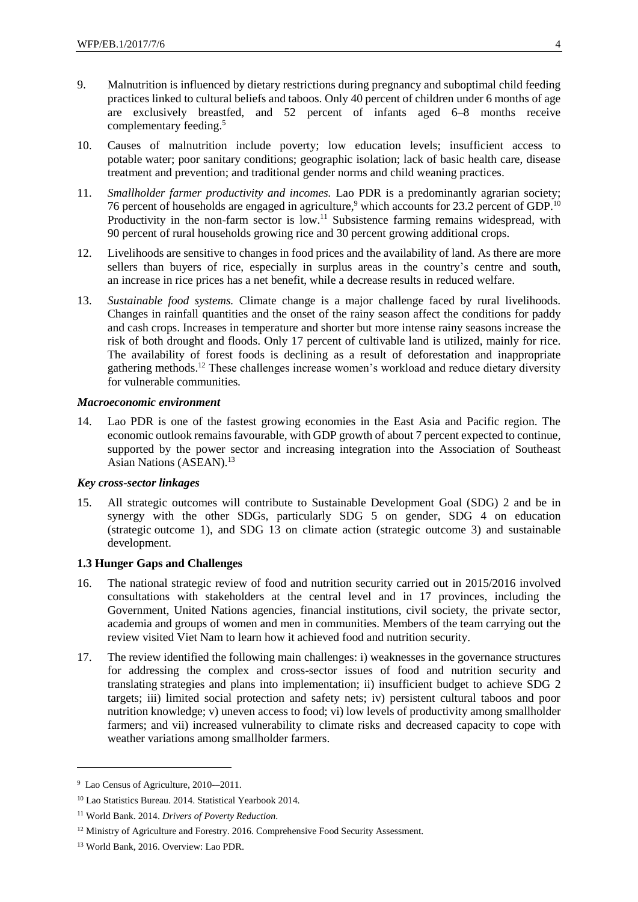- 9. Malnutrition is influenced by dietary restrictions during pregnancy and suboptimal child feeding practices linked to cultural beliefs and taboos. Only 40 percent of children under 6 months of age are exclusively breastfed, and 52 percent of infants aged 6–8 months receive complementary feeding[.](#page-2-1) 5
- 10. Causes of malnutrition include poverty; low education levels; insufficient access to potable water; poor sanitary conditions; geographic isolation; lack of basic health care, disease treatment and prevention; and traditional gender norms and child weaning practices.
- 11. *Smallholder farmer productivity and incomes.* Lao PDR is a predominantly agrarian society; 76 percent of households are engaged in agriculture,<sup>9</sup> which accounts for 23.2 percent of GDP.<sup>10</sup> Productivity in the non-farm sector is low.<sup>11</sup> Subsistence farming remains widespread, with 90 percent of rural households growing rice and 30 percent growing additional crops.
- 12. Livelihoods are sensitive to changes in food prices and the availability of land. As there are more sellers than buyers of rice, especially in surplus areas in the country's centre and south, an increase in rice prices has a net benefit, while a decrease results in reduced welfare.
- 13. *Sustainable food systems.* Climate change is a major challenge faced by rural livelihoods. Changes in rainfall quantities and the onset of the rainy season affect the conditions for paddy and cash crops. Increases in temperature and shorter but more intense rainy seasons increase the risk of both drought and floods. Only 17 percent of cultivable land is utilized, mainly for rice. The availability of forest foods is declining as a result of deforestation and inappropriate gathering methods.<sup>12</sup> These challenges increase women's workload and reduce dietary diversity for vulnerable communities.

#### *Macroeconomic environment*

14. Lao PDR is one of the fastest growing economies in the East Asia and Pacific region. The economic outlook remains favourable, with GDP growth of about 7 percent expected to continue, supported by the power sector and increasing integration into the Association of Southeast Asian Nations (ASEAN).<sup>13</sup>

## *Key cross-sector linkages*

15. All strategic outcomes will contribute to Sustainable Development Goal (SDG) 2 and be in synergy with the other SDGs, particularly SDG 5 on gender, SDG 4 on education (strategic outcome 1), and SDG 13 on climate action (strategic outcome 3) and sustainable development.

### **1.3 Hunger Gaps and Challenges**

- 16. The national strategic review of food and nutrition security carried out in 2015/2016 involved consultations with stakeholders at the central level and in 17 provinces, including the Government, United Nations agencies, financial institutions, civil society, the private sector, academia and groups of women and men in communities. Members of the team carrying out the review visited Viet Nam to learn how it achieved food and nutrition security.
- 17. The review identified the following main challenges: i) weaknesses in the governance structures for addressing the complex and cross-sector issues of food and nutrition security and translating strategies and plans into implementation; ii) insufficient budget to achieve SDG 2 targets; iii) limited social protection and safety nets; iv) persistent cultural taboos and poor nutrition knowledge; v) uneven access to food; vi) low levels of productivity among smallholder farmers; and vii) increased vulnerability to climate risks and decreased capacity to cope with weather variations among smallholder farmers.

1

<sup>9</sup> Lao Census of Agriculture, 2010-**–**2011.

<sup>10</sup> Lao Statistics Bureau. 2014. Statistical Yearbook 2014.

<sup>11</sup> World Bank. 2014. *Drivers of Poverty Reduction*.

<sup>&</sup>lt;sup>12</sup> Ministry of Agriculture and Forestry. 2016. Comprehensive Food Security Assessment.

<sup>13</sup> World Bank, 2016. Overview: Lao PDR.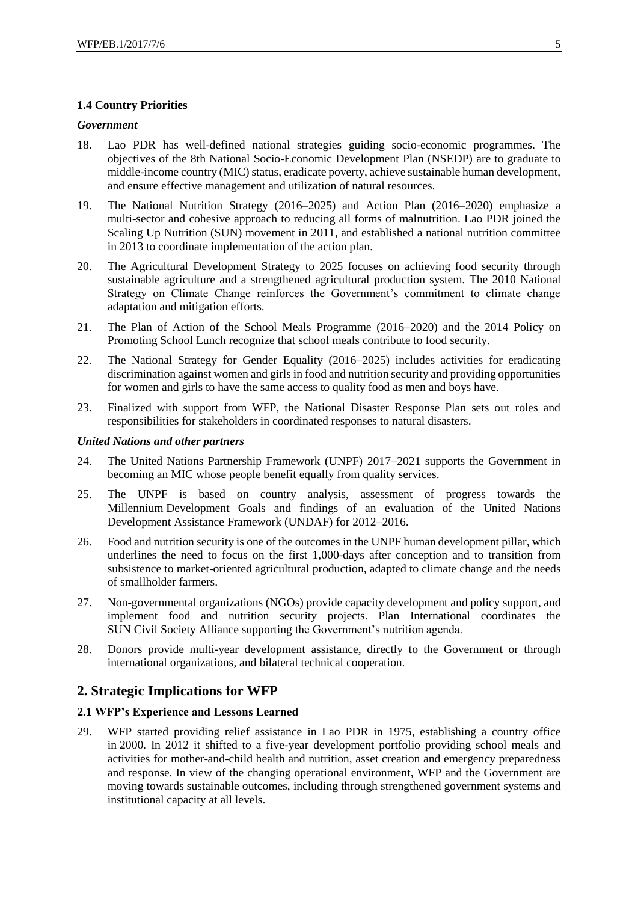#### **1.4 Country Priorities**

#### *Government*

- 18. Lao PDR has well-defined national strategies guiding socio-economic programmes. The objectives of the 8th National Socio-Economic Development Plan (NSEDP) are to graduate to middle-income country (MIC) status, eradicate poverty, achieve sustainable human development, and ensure effective management and utilization of natural resources.
- 19. The National Nutrition Strategy (2016–2025) and Action Plan (2016–2020) emphasize a multi-sector and cohesive approach to reducing all forms of malnutrition. Lao PDR joined the Scaling Up Nutrition (SUN) movement in 2011, and established a national nutrition committee in 2013 to coordinate implementation of the action plan.
- 20. The Agricultural Development Strategy to 2025 focuses on achieving food security through sustainable agriculture and a strengthened agricultural production system. The 2010 National Strategy on Climate Change reinforces the Government's commitment to climate change adaptation and mitigation efforts.
- 21. The Plan of Action of the School Meals Programme (2016**–**2020) and the 2014 Policy on Promoting School Lunch recognize that school meals contribute to food security.
- 22. The National Strategy for Gender Equality (2016**–**2025) includes activities for eradicating discrimination against women and girls in food and nutrition security and providing opportunities for women and girls to have the same access to quality food as men and boys have.
- 23. Finalized with support from WFP, the National Disaster Response Plan sets out roles and responsibilities for stakeholders in coordinated responses to natural disasters.

#### *United Nations and other partners*

- 24. The United Nations Partnership Framework (UNPF) 2017**–**2021 supports the Government in becoming an MIC whose people benefit equally from quality services.
- 25. The UNPF is based on country analysis, assessment of progress towards the Millennium Development Goals and findings of an evaluation of the United Nations Development Assistance Framework (UNDAF) for 2012**–**2016.
- 26. Food and nutrition security is one of the outcomes in the UNPF human development pillar, which underlines the need to focus on the first 1,000-days after conception and to transition from subsistence to market-oriented agricultural production, adapted to climate change and the needs of smallholder farmers.
- 27. Non-governmental organizations (NGOs) provide capacity development and policy support, and implement food and nutrition security projects. Plan International coordinates the SUN Civil Society Alliance supporting the Government's nutrition agenda.
- 28. Donors provide multi-year development assistance, directly to the Government or through international organizations, and bilateral technical cooperation.

#### **2. Strategic Implications for WFP**

#### **2.1 WFP's Experience and Lessons Learned**

29. WFP started providing relief assistance in Lao PDR in 1975, establishing a country office in 2000. In 2012 it shifted to a five-year development portfolio providing school meals and activities for mother-and-child health and nutrition, asset creation and emergency preparedness and response. In view of the changing operational environment, WFP and the Government are moving towards sustainable outcomes, including through strengthened government systems and institutional capacity at all levels.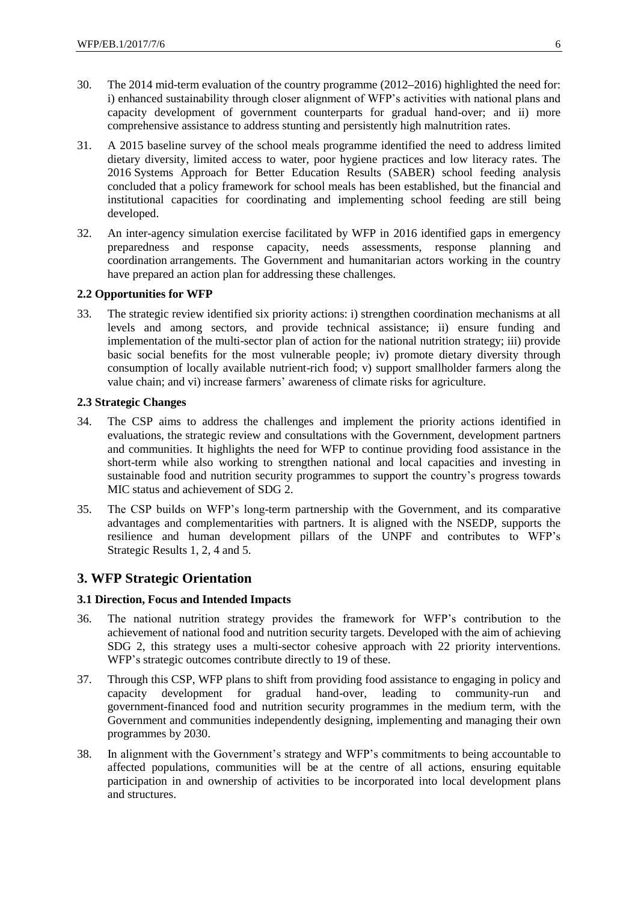- 30. The 2014 mid-term evaluation of the country programme (2012**–**2016) highlighted the need for: i) enhanced sustainability through closer alignment of WFP's activities with national plans and capacity development of government counterparts for gradual hand-over; and ii) more comprehensive assistance to address stunting and persistently high malnutrition rates.
- 31. A 2015 baseline survey of the school meals programme identified the need to address limited dietary diversity, limited access to water, poor hygiene practices and low literacy rates. The 2016 Systems Approach for Better Education Results (SABER) school feeding analysis concluded that a policy framework for school meals has been established, but the financial and institutional capacities for coordinating and implementing school feeding are still being developed.
- 32. An inter-agency simulation exercise facilitated by WFP in 2016 identified gaps in emergency preparedness and response capacity, needs assessments, response planning and coordination arrangements. The Government and humanitarian actors working in the country have prepared an action plan for addressing these challenges.

#### **2.2 Opportunities for WFP**

33. The strategic review identified six priority actions: i) strengthen coordination mechanisms at all levels and among sectors, and provide technical assistance; ii) ensure funding and implementation of the multi-sector plan of action for the national nutrition strategy; iii) provide basic social benefits for the most vulnerable people; iv) promote dietary diversity through consumption of locally available nutrient-rich food; v) support smallholder farmers along the value chain; and vi) increase farmers' awareness of climate risks for agriculture.

#### **2.3 Strategic Changes**

- 34. The CSP aims to address the challenges and implement the priority actions identified in evaluations, the strategic review and consultations with the Government, development partners and communities. It highlights the need for WFP to continue providing food assistance in the short-term while also working to strengthen national and local capacities and investing in sustainable food and nutrition security programmes to support the country's progress towards MIC status and achievement of SDG 2.
- 35. The CSP builds on WFP's long-term partnership with the Government, and its comparative advantages and complementarities with partners. It is aligned with the NSEDP, supports the resilience and human development pillars of the UNPF and contributes to WFP's Strategic Results 1, 2, 4 and 5.

## **3. WFP Strategic Orientation**

#### **3.1 Direction, Focus and Intended Impacts**

- 36. The national nutrition strategy provides the framework for WFP's contribution to the achievement of national food and nutrition security targets. Developed with the aim of achieving SDG 2, this strategy uses a multi-sector cohesive approach with 22 priority interventions. WFP's strategic outcomes contribute directly to 19 of these.
- 37. Through this CSP, WFP plans to shift from providing food assistance to engaging in policy and capacity development for gradual hand-over, leading to community-run and government-financed food and nutrition security programmes in the medium term, with the Government and communities independently designing, implementing and managing their own programmes by 2030.
- 38. In alignment with the Government's strategy and WFP's commitments to being accountable to affected populations, communities will be at the centre of all actions, ensuring equitable participation in and ownership of activities to be incorporated into local development plans and structures.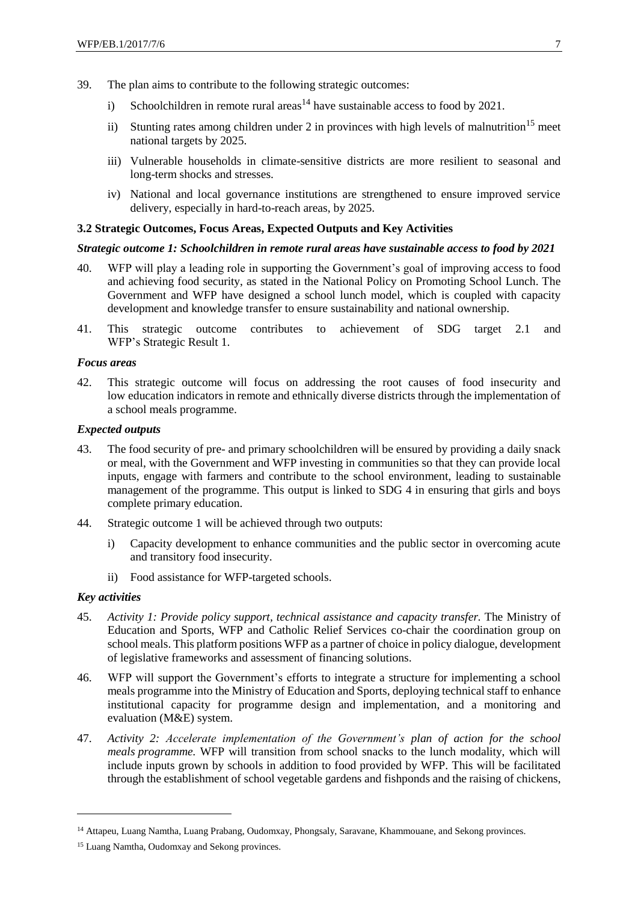- 39. The plan aims to contribute to the following strategic outcomes:
	- i) Schoolchildren in remote rural areas<sup>14</sup> have sustainable access to food by 2021.
	- ii) Stunting rates among children under 2 in provinces with high levels of malnutrition<sup>15</sup> meet national targets by 2025.
	- iii) Vulnerable households in climate-sensitive districts are more resilient to seasonal and long-term shocks and stresses.
	- iv) National and local governance institutions are strengthened to ensure improved service delivery, especially in hard-to-reach areas, by 2025.

#### **3.2 Strategic Outcomes, Focus Areas, Expected Outputs and Key Activities**

#### *Strategic outcome 1: Schoolchildren in remote rural areas have sustainable access to food by 2021*

- 40. WFP will play a leading role in supporting the Government's goal of improving access to food and achieving food security, as stated in the National Policy on Promoting School Lunch. The Government and WFP have designed a school lunch model, which is coupled with capacity development and knowledge transfer to ensure sustainability and national ownership.
- 41. This strategic outcome contributes to achievement of SDG target 2.1 and WFP's Strategic Result 1.

#### *Focus areas*

42. This strategic outcome will focus on addressing the root causes of food insecurity and low education indicators in remote and ethnically diverse districts through the implementation of a school meals programme.

#### *Expected outputs*

- 43. The food security of pre- and primary schoolchildren will be ensured by providing a daily snack or meal, with the Government and WFP investing in communities so that they can provide local inputs, engage with farmers and contribute to the school environment, leading to sustainable management of the programme. This output is linked to SDG 4 in ensuring that girls and boys complete primary education.
- 44. Strategic outcome 1 will be achieved through two outputs:
	- i) Capacity development to enhance communities and the public sector in overcoming acute and transitory food insecurity.
	- ii) Food assistance for WFP-targeted schools.

## *Key activities*

1

- 45. *Activity 1: Provide policy support, technical assistance and capacity transfer.* The Ministry of Education and Sports, WFP and Catholic Relief Services co-chair the coordination group on school meals. This platform positions WFP as a partner of choice in policy dialogue, development of legislative frameworks and assessment of financing solutions.
- 46. WFP will support the Government's efforts to integrate a structure for implementing a school meals programme into the Ministry of Education and Sports, deploying technical staff to enhance institutional capacity for programme design and implementation, and a monitoring and evaluation (M&E) system.
- 47. *Activity 2: Accelerate implementation of the Government's plan of action for the school meals programme.* WFP will transition from school snacks to the lunch modality, which will include inputs grown by schools in addition to food provided by WFP. This will be facilitated through the establishment of school vegetable gardens and fishponds and the raising of chickens,

<sup>14</sup> Attapeu, Luang Namtha, Luang Prabang, Oudomxay, Phongsaly, Saravane, Khammouane, and Sekong provinces.

<sup>&</sup>lt;sup>15</sup> Luang Namtha, Oudomxay and Sekong provinces.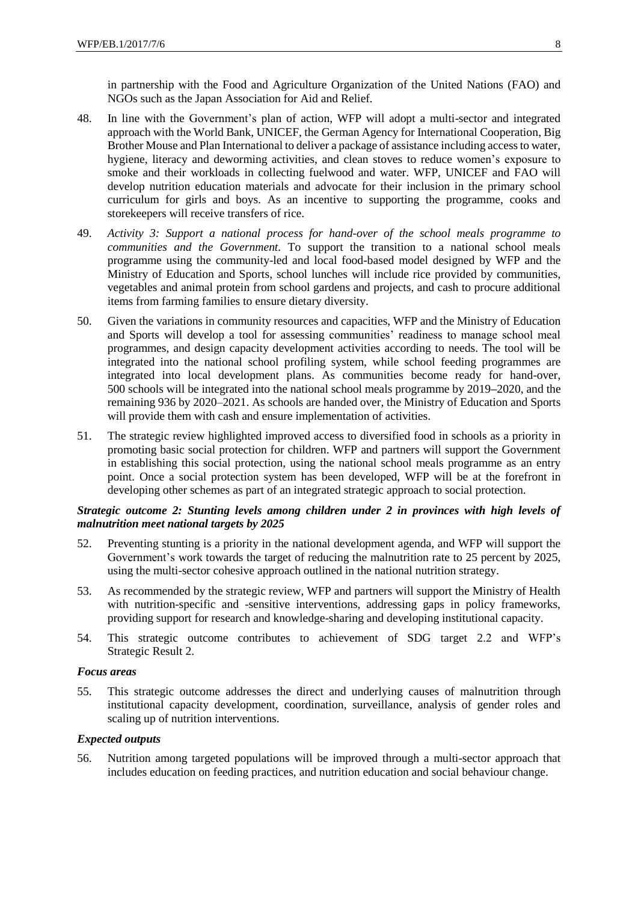in partnership with the Food and Agriculture Organization of the United Nations (FAO) and NGOs such as the Japan Association for Aid and Relief.

- 48. In line with the Government's plan of action, WFP will adopt a multi-sector and integrated approach with the World Bank, UNICEF, the German Agency for International Cooperation, Big Brother Mouse and Plan International to deliver a package of assistance including access to water, hygiene, literacy and deworming activities, and clean stoves to reduce women's exposure to smoke and their workloads in collecting fuelwood and water. WFP, UNICEF and FAO will develop nutrition education materials and advocate for their inclusion in the primary school curriculum for girls and boys. As an incentive to supporting the programme, cooks and storekeepers will receive transfers of rice.
- 49. *Activity 3: Support a national process for hand-over of the school meals programme to communities and the Government.* To support the transition to a national school meals programme using the community-led and local food-based model designed by WFP and the Ministry of Education and Sports, school lunches will include rice provided by communities, vegetables and animal protein from school gardens and projects, and cash to procure additional items from farming families to ensure dietary diversity.
- 50. Given the variations in community resources and capacities, WFP and the Ministry of Education and Sports will develop a tool for assessing communities' readiness to manage school meal programmes, and design capacity development activities according to needs. The tool will be integrated into the national school profiling system, while school feeding programmes are integrated into local development plans. As communities become ready for hand-over, 500 schools will be integrated into the national school meals programme by 2019**–**2020, and the remaining 936 by 2020–2021. As schools are handed over, the Ministry of Education and Sports will provide them with cash and ensure implementation of activities.
- 51. The strategic review highlighted improved access to diversified food in schools as a priority in promoting basic social protection for children. WFP and partners will support the Government in establishing this social protection, using the national school meals programme as an entry point. Once a social protection system has been developed, WFP will be at the forefront in developing other schemes as part of an integrated strategic approach to social protection.

#### *Strategic outcome 2: Stunting levels among children under 2 in provinces with high levels of malnutrition meet national targets by 2025*

- 52. Preventing stunting is a priority in the national development agenda, and WFP will support the Government's work towards the target of reducing the malnutrition rate to 25 percent by 2025, using the multi-sector cohesive approach outlined in the national nutrition strategy.
- 53. As recommended by the strategic review, WFP and partners will support the Ministry of Health with nutrition-specific and -sensitive interventions, addressing gaps in policy frameworks, providing support for research and knowledge-sharing and developing institutional capacity.
- 54. This strategic outcome contributes to achievement of SDG target 2.2 and WFP's Strategic Result 2.

#### *Focus areas*

55. This strategic outcome addresses the direct and underlying causes of malnutrition through institutional capacity development, coordination, surveillance, analysis of gender roles and scaling up of nutrition interventions.

#### *Expected outputs*

56. Nutrition among targeted populations will be improved through a multi-sector approach that includes education on feeding practices, and nutrition education and social behaviour change.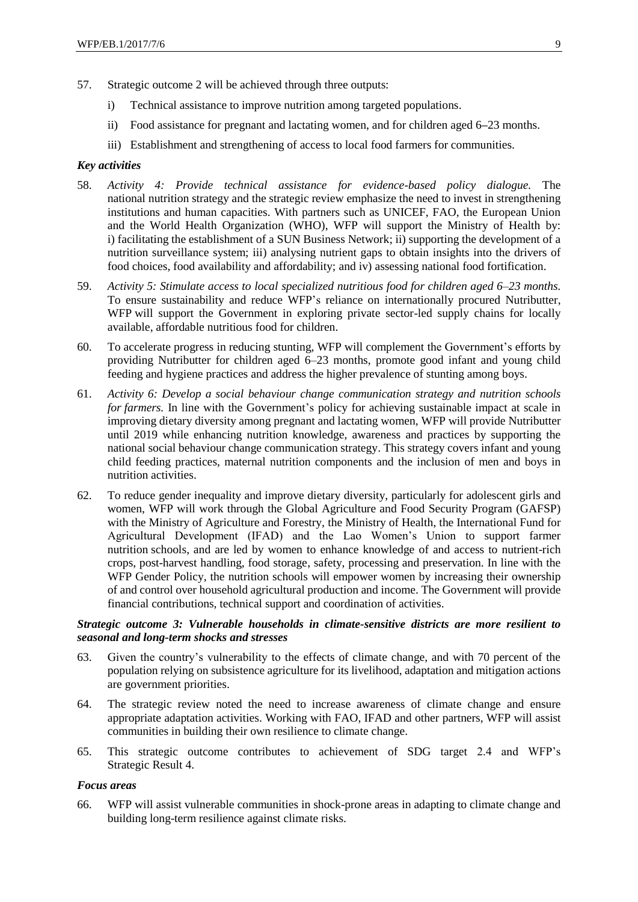- 57. Strategic outcome 2 will be achieved through three outputs:
	- i) Technical assistance to improve nutrition among targeted populations.
	- ii) Food assistance for pregnant and lactating women, and for children aged 6**–**23 months.
	- iii) Establishment and strengthening of access to local food farmers for communities.

#### *Key activities*

- 58. *Activity 4: Provide technical assistance for evidence-based policy dialogue.* The national nutrition strategy and the strategic review emphasize the need to invest in strengthening institutions and human capacities. With partners such as UNICEF, FAO, the European Union and the World Health Organization (WHO), WFP will support the Ministry of Health by: i) facilitating the establishment of a SUN Business Network; ii) supporting the development of a nutrition surveillance system; iii) analysing nutrient gaps to obtain insights into the drivers of food choices, food availability and affordability; and iv) assessing national food fortification.
- 59. *Activity 5: Stimulate access to local specialized nutritious food for children aged 6–23 months.* To ensure sustainability and reduce WFP's reliance on internationally procured Nutributter, WFP will support the Government in exploring private sector-led supply chains for locally available, affordable nutritious food for children.
- 60. To accelerate progress in reducing stunting, WFP will complement the Government's efforts by providing Nutributter for children aged 6–23 months, promote good infant and young child feeding and hygiene practices and address the higher prevalence of stunting among boys.
- 61. *Activity 6: Develop a social behaviour change communication strategy and nutrition schools for farmers.* In line with the Government's policy for achieving sustainable impact at scale in improving dietary diversity among pregnant and lactating women, WFP will provide Nutributter until 2019 while enhancing nutrition knowledge, awareness and practices by supporting the national social behaviour change communication strategy. This strategy covers infant and young child feeding practices, maternal nutrition components and the inclusion of men and boys in nutrition activities.
- 62. To reduce gender inequality and improve dietary diversity, particularly for adolescent girls and women, WFP will work through the Global Agriculture and Food Security Program (GAFSP) with the Ministry of Agriculture and Forestry, the Ministry of Health, the International Fund for Agricultural Development (IFAD) and the Lao Women's Union to support farmer nutrition schools, and are led by women to enhance knowledge of and access to nutrient-rich crops, post-harvest handling, food storage, safety, processing and preservation. In line with the WFP Gender Policy, the nutrition schools will empower women by increasing their ownership of and control over household agricultural production and income. The Government will provide financial contributions, technical support and coordination of activities.

## *Strategic outcome 3: Vulnerable households in climate-sensitive districts are more resilient to seasonal and long-term shocks and stresses*

- 63. Given the country's vulnerability to the effects of climate change, and with 70 percent of the population relying on subsistence agriculture for its livelihood, adaptation and mitigation actions are government priorities.
- 64. The strategic review noted the need to increase awareness of climate change and ensure appropriate adaptation activities. Working with FAO, IFAD and other partners, WFP will assist communities in building their own resilience to climate change.
- 65. This strategic outcome contributes to achievement of SDG target 2.4 and WFP's Strategic Result 4.

#### *Focus areas*

66. WFP will assist vulnerable communities in shock-prone areas in adapting to climate change and building long-term resilience against climate risks.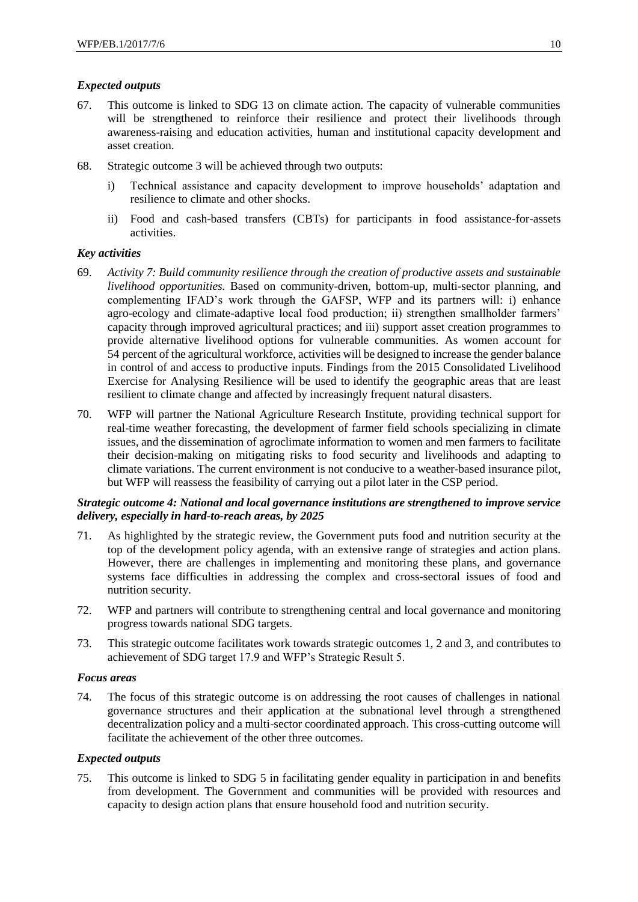#### *Expected outputs*

- 67. This outcome is linked to SDG 13 on climate action. The capacity of vulnerable communities will be strengthened to reinforce their resilience and protect their livelihoods through awareness-raising and education activities, human and institutional capacity development and asset creation.
- 68. Strategic outcome 3 will be achieved through two outputs:
	- i) Technical assistance and capacity development to improve households' adaptation and resilience to climate and other shocks.
	- ii) Food and cash-based transfers (CBTs) for participants in food assistance-for-assets activities.

#### *Key activities*

- 69. *Activity 7: Build community resilience through the creation of productive assets and sustainable livelihood opportunities.* Based on community-driven, bottom-up, multi-sector planning, and complementing IFAD's work through the GAFSP, WFP and its partners will: i) enhance agro-ecology and climate-adaptive local food production; ii) strengthen smallholder farmers' capacity through improved agricultural practices; and iii) support asset creation programmes to provide alternative livelihood options for vulnerable communities. As women account for 54 percent of the agricultural workforce, activities will be designed to increase the gender balance in control of and access to productive inputs. Findings from the 2015 Consolidated Livelihood Exercise for Analysing Resilience will be used to identify the geographic areas that are least resilient to climate change and affected by increasingly frequent natural disasters.
- 70. WFP will partner the National Agriculture Research Institute, providing technical support for real-time weather forecasting, the development of farmer field schools specializing in climate issues, and the dissemination of agroclimate information to women and men farmers to facilitate their decision-making on mitigating risks to food security and livelihoods and adapting to climate variations. The current environment is not conducive to a weather-based insurance pilot, but WFP will reassess the feasibility of carrying out a pilot later in the CSP period.

## *Strategic outcome 4: National and local governance institutions are strengthened to improve service delivery, especially in hard-to-reach areas, by 2025*

- 71. As highlighted by the strategic review, the Government puts food and nutrition security at the top of the development policy agenda, with an extensive range of strategies and action plans. However, there are challenges in implementing and monitoring these plans, and governance systems face difficulties in addressing the complex and cross-sectoral issues of food and nutrition security.
- 72. WFP and partners will contribute to strengthening central and local governance and monitoring progress towards national SDG targets.
- 73. This strategic outcome facilitates work towards strategic outcomes 1, 2 and 3, and contributes to achievement of SDG target 17.9 and WFP's Strategic Result 5.

#### *Focus areas*

74. The focus of this strategic outcome is on addressing the root causes of challenges in national governance structures and their application at the subnational level through a strengthened decentralization policy and a multi-sector coordinated approach. This cross-cutting outcome will facilitate the achievement of the other three outcomes.

#### *Expected outputs*

75. This outcome is linked to SDG 5 in facilitating gender equality in participation in and benefits from development. The Government and communities will be provided with resources and capacity to design action plans that ensure household food and nutrition security.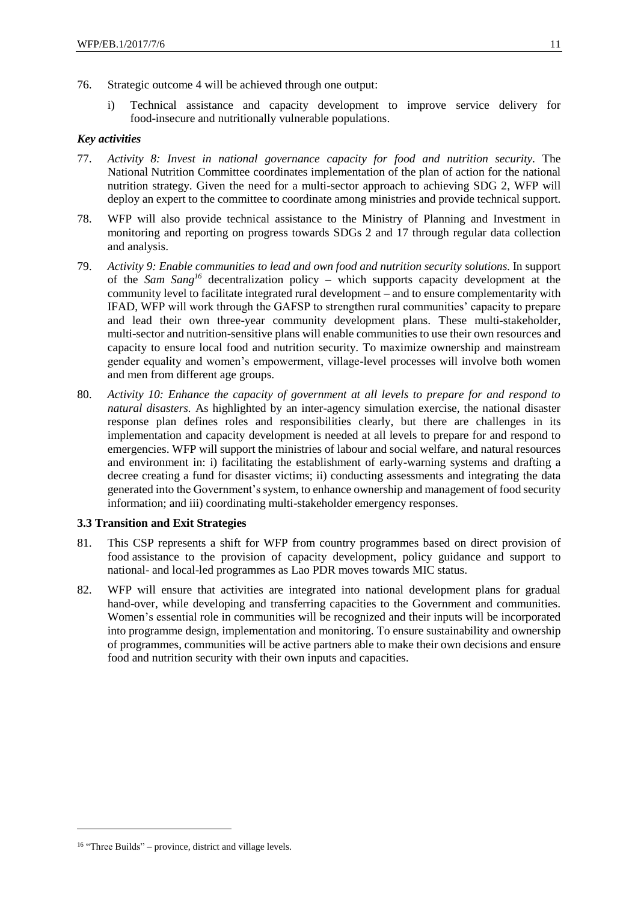- 76. Strategic outcome 4 will be achieved through one output:
	- i) Technical assistance and capacity development to improve service delivery for food-insecure and nutritionally vulnerable populations.

#### *Key activities*

- 77. *Activity 8: Invest in national governance capacity for food and nutrition security.* The National Nutrition Committee coordinates implementation of the plan of action for the national nutrition strategy. Given the need for a multi-sector approach to achieving SDG 2, WFP will deploy an expert to the committee to coordinate among ministries and provide technical support.
- 78. WFP will also provide technical assistance to the Ministry of Planning and Investment in monitoring and reporting on progress towards SDGs 2 and 17 through regular data collection and analysis.
- 79. *Activity 9: Enable communities to lead and own food and nutrition security solutions.* In support of the *Sam Sang<sup>16</sup>* decentralization policy – which supports capacity development at the community level to facilitate integrated rural development – and to ensure complementarity with IFAD, WFP will work through the GAFSP to strengthen rural communities' capacity to prepare and lead their own three-year community development plans. These multi-stakeholder, multi-sector and nutrition-sensitive plans will enable communities to use their own resources and capacity to ensure local food and nutrition security. To maximize ownership and mainstream gender equality and women's empowerment, village-level processes will involve both women and men from different age groups.
- 80. *Activity 10: Enhance the capacity of government at all levels to prepare for and respond to natural disasters.* As highlighted by an inter-agency simulation exercise, the national disaster response plan defines roles and responsibilities clearly, but there are challenges in its implementation and capacity development is needed at all levels to prepare for and respond to emergencies. WFP will support the ministries of labour and social welfare, and natural resources and environment in: i) facilitating the establishment of early-warning systems and drafting a decree creating a fund for disaster victims; ii) conducting assessments and integrating the data generated into the Government's system, to enhance ownership and management of food security information; and iii) coordinating multi-stakeholder emergency responses.

#### **3.3 Transition and Exit Strategies**

- 81. This CSP represents a shift for WFP from country programmes based on direct provision of food assistance to the provision of capacity development, policy guidance and support to national- and local-led programmes as Lao PDR moves towards MIC status.
- 82. WFP will ensure that activities are integrated into national development plans for gradual hand-over, while developing and transferring capacities to the Government and communities. Women's essential role in communities will be recognized and their inputs will be incorporated into programme design, implementation and monitoring. To ensure sustainability and ownership of programmes, communities will be active partners able to make their own decisions and ensure food and nutrition security with their own inputs and capacities.

1

<sup>&</sup>lt;sup>16</sup> "Three Builds" – province, district and village levels.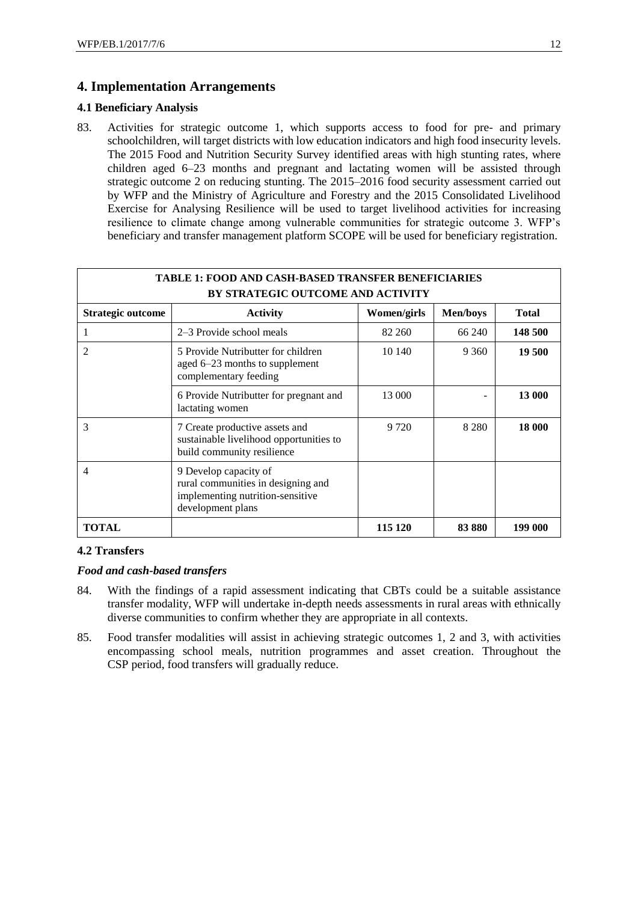## **4. Implementation Arrangements**

#### **4.1 Beneficiary Analysis**

83. Activities for strategic outcome 1, which supports access to food for pre- and primary schoolchildren, will target districts with low education indicators and high food insecurity levels. The 2015 Food and Nutrition Security Survey identified areas with high stunting rates, where children aged 6–23 months and pregnant and lactating women will be assisted through strategic outcome 2 on reducing stunting. The 2015–2016 food security assessment carried out by WFP and the Ministry of Agriculture and Forestry and the 2015 Consolidated Livelihood Exercise for Analysing Resilience will be used to target livelihood activities for increasing resilience to climate change among vulnerable communities for strategic outcome 3. WFP's beneficiary and transfer management platform SCOPE will be used for beneficiary registration.

| <b>TABLE 1: FOOD AND CASH-BASED TRANSFER BENEFICIARIES</b><br>BY STRATEGIC OUTCOME AND ACTIVITY |                                                                                                                      |             |                 |              |  |
|-------------------------------------------------------------------------------------------------|----------------------------------------------------------------------------------------------------------------------|-------------|-----------------|--------------|--|
| <b>Strategic outcome</b>                                                                        | <b>Activity</b>                                                                                                      | Women/girls | <b>Men/boys</b> | <b>Total</b> |  |
|                                                                                                 | 2–3 Provide school meals                                                                                             | 82 260      | 66 240          | 148 500      |  |
| 2                                                                                               | 5 Provide Nutributter for children<br>aged 6–23 months to supplement<br>complementary feeding                        | 10 140      | 9 3 6 0         | 19 500       |  |
|                                                                                                 | 6 Provide Nutributter for pregnant and<br>lactating women                                                            | 13 000      |                 | 13 000       |  |
| 3                                                                                               | 7 Create productive assets and<br>sustainable livelihood opportunities to<br>build community resilience              | 9 7 2 0     | 8 2 8 0         | 18 000       |  |
| 4                                                                                               | 9 Develop capacity of<br>rural communities in designing and<br>implementing nutrition-sensitive<br>development plans |             |                 |              |  |
| <b>TOTAL</b>                                                                                    |                                                                                                                      | 115 120     | 83 880          | 199 000      |  |

#### **4.2 Transfers**

#### *Food and cash-based transfers*

- 84. With the findings of a rapid assessment indicating that CBTs could be a suitable assistance transfer modality, WFP will undertake in-depth needs assessments in rural areas with ethnically diverse communities to confirm whether they are appropriate in all contexts.
- 85. Food transfer modalities will assist in achieving strategic outcomes 1, 2 and 3, with activities encompassing school meals, nutrition programmes and asset creation. Throughout the CSP period, food transfers will gradually reduce.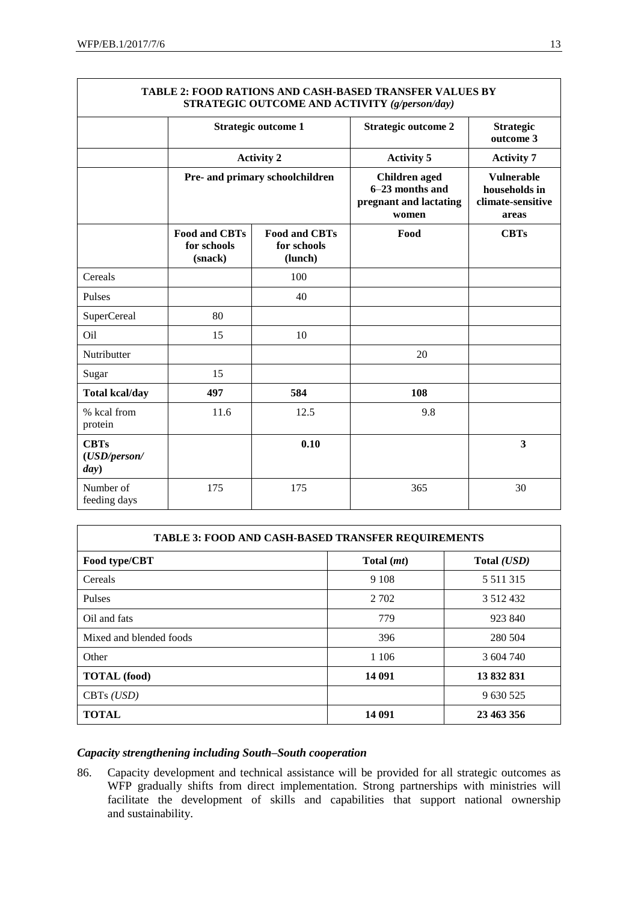| <b>TABLE 2: FOOD RATIONS AND CASH-BASED TRANSFER VALUES BY</b><br>STRATEGIC OUTCOME AND ACTIVITY (g/person/day) |                                                |                                                |                                                                            |                                                                  |  |
|-----------------------------------------------------------------------------------------------------------------|------------------------------------------------|------------------------------------------------|----------------------------------------------------------------------------|------------------------------------------------------------------|--|
|                                                                                                                 |                                                | <b>Strategic outcome 1</b>                     | <b>Strategic outcome 2</b>                                                 | <b>Strategic</b><br>outcome 3                                    |  |
|                                                                                                                 |                                                | <b>Activity 2</b>                              | <b>Activity 5</b>                                                          | <b>Activity 7</b>                                                |  |
|                                                                                                                 | Pre- and primary schoolchildren                |                                                | <b>Children</b> aged<br>6-23 months and<br>pregnant and lactating<br>women | <b>Vulnerable</b><br>households in<br>climate-sensitive<br>areas |  |
|                                                                                                                 | <b>Food and CBTs</b><br>for schools<br>(snack) | <b>Food and CBTs</b><br>for schools<br>(lunch) | Food                                                                       | <b>CBTs</b>                                                      |  |
| Cereals                                                                                                         |                                                | 100                                            |                                                                            |                                                                  |  |
| Pulses                                                                                                          |                                                | 40                                             |                                                                            |                                                                  |  |
| <b>SuperCereal</b>                                                                                              | 80                                             |                                                |                                                                            |                                                                  |  |
| O <sub>il</sub>                                                                                                 | 15                                             | 10                                             |                                                                            |                                                                  |  |
| Nutributter                                                                                                     |                                                |                                                | 20                                                                         |                                                                  |  |
| Sugar                                                                                                           | 15                                             |                                                |                                                                            |                                                                  |  |
| <b>Total kcal/day</b>                                                                                           | 497                                            | 584                                            | 108                                                                        |                                                                  |  |
| % kcal from<br>protein                                                                                          | 11.6                                           | 12.5                                           | 9.8                                                                        |                                                                  |  |
| <b>CBTs</b><br>(USD/person/<br>day)                                                                             |                                                | 0.10                                           |                                                                            | 3                                                                |  |
| Number of<br>feeding days                                                                                       | 175                                            | 175                                            | 365                                                                        | 30                                                               |  |

| <b>TABLE 3: FOOD AND CASH-BASED TRANSFER REQUIREMENTS</b> |            |               |  |  |
|-----------------------------------------------------------|------------|---------------|--|--|
| Food type/CBT                                             | Total (mt) | Total (USD)   |  |  |
| Cereals                                                   | 9 1 0 8    | 5 5 1 1 3 1 5 |  |  |
| Pulses                                                    | 2 7 0 2    | 3 5 1 2 4 3 2 |  |  |
| Oil and fats                                              | 779        | 923 840       |  |  |
| Mixed and blended foods                                   | 396        | 280 504       |  |  |
| Other                                                     | 1 1 0 6    | 3 604 740     |  |  |
| <b>TOTAL</b> (food)                                       | 14 091     | 13 832 831    |  |  |
| CBTs $(USD)$                                              |            | 9 630 525     |  |  |
| <b>TOTAL</b>                                              | 14 091     | 23 463 356    |  |  |

# **TABLE 2: FOOD RATIONS AND CASH-BASED TRANSFER VALUES BY**

#### *Capacity strengthening including South–South cooperation*

86. Capacity development and technical assistance will be provided for all strategic outcomes as WFP gradually shifts from direct implementation. Strong partnerships with ministries will facilitate the development of skills and capabilities that support national ownership and sustainability.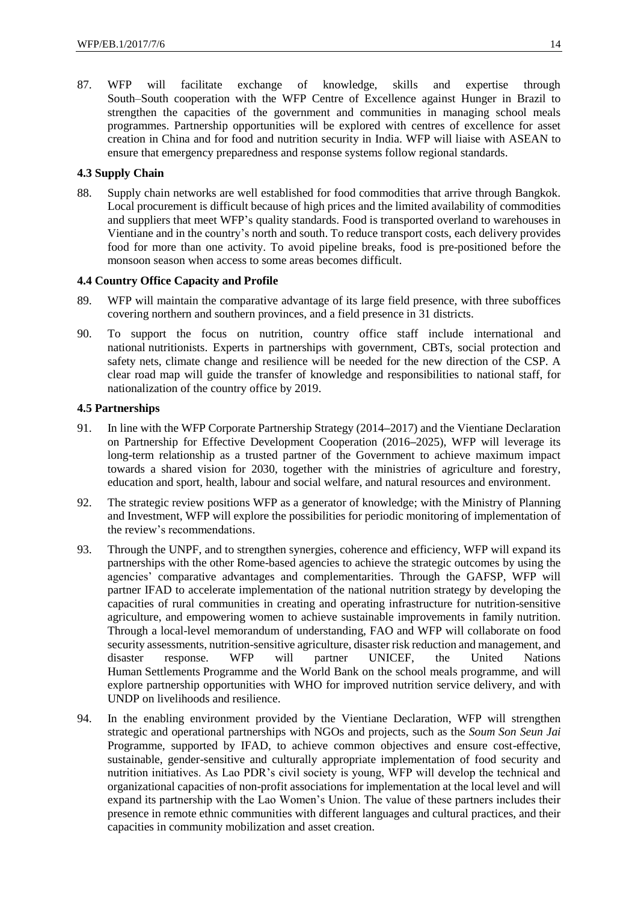87. WFP will facilitate exchange of knowledge, skills and expertise through South–South cooperation with the WFP Centre of Excellence against Hunger in Brazil to strengthen the capacities of the government and communities in managing school meals programmes. Partnership opportunities will be explored with centres of excellence for asset creation in China and for food and nutrition security in India. WFP will liaise with ASEAN to ensure that emergency preparedness and response systems follow regional standards.

## **4.3 Supply Chain**

88. Supply chain networks are well established for food commodities that arrive through Bangkok. Local procurement is difficult because of high prices and the limited availability of commodities and suppliers that meet WFP's quality standards. Food is transported overland to warehouses in Vientiane and in the country's north and south. To reduce transport costs, each delivery provides food for more than one activity. To avoid pipeline breaks, food is pre-positioned before the monsoon season when access to some areas becomes difficult.

#### **4.4 Country Office Capacity and Profile**

- 89. WFP will maintain the comparative advantage of its large field presence, with three suboffices covering northern and southern provinces, and a field presence in 31 districts.
- 90. To support the focus on nutrition, country office staff include international and national nutritionists. Experts in partnerships with government, CBTs, social protection and safety nets, climate change and resilience will be needed for the new direction of the CSP. A clear road map will guide the transfer of knowledge and responsibilities to national staff, for nationalization of the country office by 2019.

#### **4.5 Partnerships**

- 91. In line with the WFP Corporate Partnership Strategy (2014**–**2017) and the Vientiane Declaration on Partnership for Effective Development Cooperation (2016**–**2025), WFP will leverage its long-term relationship as a trusted partner of the Government to achieve maximum impact towards a shared vision for 2030, together with the ministries of agriculture and forestry, education and sport, health, labour and social welfare, and natural resources and environment.
- 92. The strategic review positions WFP as a generator of knowledge; with the Ministry of Planning and Investment, WFP will explore the possibilities for periodic monitoring of implementation of the review's recommendations.
- 93. Through the UNPF, and to strengthen synergies, coherence and efficiency, WFP will expand its partnerships with the other Rome-based agencies to achieve the strategic outcomes by using the agencies' comparative advantages and complementarities. Through the GAFSP, WFP will partner IFAD to accelerate implementation of the national nutrition strategy by developing the capacities of rural communities in creating and operating infrastructure for nutrition-sensitive agriculture, and empowering women to achieve sustainable improvements in family nutrition. Through a local-level memorandum of understanding, FAO and WFP will collaborate on food security assessments, nutrition-sensitive agriculture, disaster risk reduction and management, and disaster response. WFP will partner UNICEF, the United Nations Human Settlements Programme and the World Bank on the school meals programme, and will explore partnership opportunities with WHO for improved nutrition service delivery, and with UNDP on livelihoods and resilience.
- 94. In the enabling environment provided by the Vientiane Declaration, WFP will strengthen strategic and operational partnerships with NGOs and projects, such as the *Soum Son Seun Jai*  Programme, supported by IFAD, to achieve common objectives and ensure cost-effective, sustainable, gender-sensitive and culturally appropriate implementation of food security and nutrition initiatives. As Lao PDR's civil society is young, WFP will develop the technical and organizational capacities of non-profit associations for implementation at the local level and will expand its partnership with the Lao Women's Union. The value of these partners includes their presence in remote ethnic communities with different languages and cultural practices, and their capacities in community mobilization and asset creation.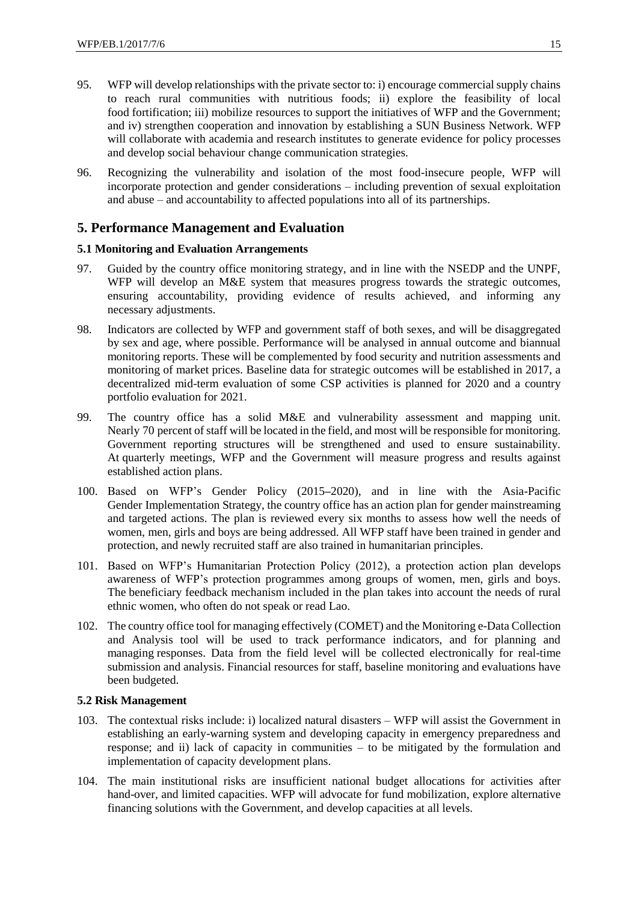- 95. WFP will develop relationships with the private sector to: i) encourage commercial supply chains to reach rural communities with nutritious foods; ii) explore the feasibility of local food fortification; iii) mobilize resources to support the initiatives of WFP and the Government; and iv) strengthen cooperation and innovation by establishing a SUN Business Network. WFP will collaborate with academia and research institutes to generate evidence for policy processes and develop social behaviour change communication strategies.
- 96. Recognizing the vulnerability and isolation of the most food-insecure people, WFP will incorporate protection and gender considerations – including prevention of sexual exploitation and abuse – and accountability to affected populations into all of its partnerships.

## **5. Performance Management and Evaluation**

#### **5.1 Monitoring and Evaluation Arrangements**

- 97. Guided by the country office monitoring strategy, and in line with the NSEDP and the UNPF, WFP will develop an M&E system that measures progress towards the strategic outcomes, ensuring accountability, providing evidence of results achieved, and informing any necessary adjustments.
- 98. Indicators are collected by WFP and government staff of both sexes, and will be disaggregated by sex and age, where possible. Performance will be analysed in annual outcome and biannual monitoring reports. These will be complemented by food security and nutrition assessments and monitoring of market prices. Baseline data for strategic outcomes will be established in 2017, a decentralized mid-term evaluation of some CSP activities is planned for 2020 and a country portfolio evaluation for 2021.
- 99. The country office has a solid M&E and vulnerability assessment and mapping unit. Nearly 70 percent of staff will be located in the field, and most will be responsible for monitoring. Government reporting structures will be strengthened and used to ensure sustainability. At quarterly meetings, WFP and the Government will measure progress and results against established action plans.
- 100. Based on WFP's Gender Policy (2015**–**2020), and in line with the Asia-Pacific Gender Implementation Strategy, the country office has an action plan for gender mainstreaming and targeted actions. The plan is reviewed every six months to assess how well the needs of women, men, girls and boys are being addressed. All WFP staff have been trained in gender and protection, and newly recruited staff are also trained in humanitarian principles.
- 101. Based on WFP's Humanitarian Protection Policy (2012), a protection action plan develops awareness of WFP's protection programmes among groups of women, men, girls and boys. The beneficiary feedback mechanism included in the plan takes into account the needs of rural ethnic women, who often do not speak or read Lao.
- 102. The country office tool for managing effectively (COMET) and the Monitoring e-Data Collection and Analysis tool will be used to track performance indicators, and for planning and managing responses. Data from the field level will be collected electronically for real-time submission and analysis. Financial resources for staff, baseline monitoring and evaluations have been budgeted.

## **5.2 Risk Management**

- 103. The contextual risks include: i) localized natural disasters WFP will assist the Government in establishing an early-warning system and developing capacity in emergency preparedness and response; and ii) lack of capacity in communities – to be mitigated by the formulation and implementation of capacity development plans.
- 104. The main institutional risks are insufficient national budget allocations for activities after hand-over, and limited capacities. WFP will advocate for fund mobilization, explore alternative financing solutions with the Government, and develop capacities at all levels.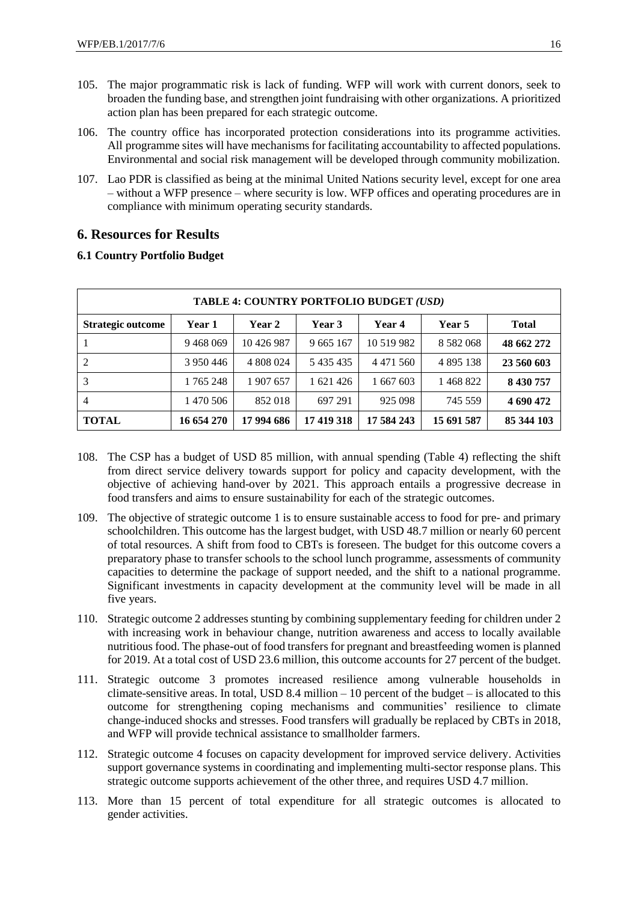- 105. The major programmatic risk is lack of funding. WFP will work with current donors, seek to broaden the funding base, and strengthen joint fundraising with other organizations. A prioritized action plan has been prepared for each strategic outcome.
- 106. The country office has incorporated protection considerations into its programme activities. All programme sites will have mechanisms for facilitating accountability to affected populations. Environmental and social risk management will be developed through community mobilization.
- 107. Lao PDR is classified as being at the minimal United Nations security level, except for one area – without a WFP presence – where security is low. WFP offices and operating procedures are in compliance with minimum operating security standards.

## **6. Resources for Results**

#### **6.1 Country Portfolio Budget**

| TABLE 4: COUNTRY PORTFOLIO BUDGET (USD) |            |            |               |               |               |              |
|-----------------------------------------|------------|------------|---------------|---------------|---------------|--------------|
| <b>Strategic outcome</b>                | Year 1     | Year 2     | Year 3        | Year 4        | Year 5        | <b>Total</b> |
|                                         | 9468069    | 10 426 987 | 9 665 167     | 10 5 19 9 8 2 | 8 5 8 2 0 6 8 | 48 662 272   |
|                                         | 3 950 446  | 4 808 024  | 5 4 3 5 4 3 5 | 4 4 7 1 5 6 0 | 4 8 9 5 1 3 8 | 23 560 603   |
| 3                                       | 1 765 248  | 1 907 657  | 1 621 426     | 1 667 603     | 1468822       | 8 430 757    |
| $\overline{4}$                          | 1 470 506  | 852018     | 697 291       | 925 098       | 745 559       | 4 690 472    |
| <b>TOTAL</b>                            | 16 654 270 | 17 994 686 | 17 419 318    | 17 584 243    | 15 691 587    | 85 344 103   |

- 108. The CSP has a budget of USD 85 million, with annual spending (Table 4) reflecting the shift from direct service delivery towards support for policy and capacity development, with the objective of achieving hand-over by 2021. This approach entails a progressive decrease in food transfers and aims to ensure sustainability for each of the strategic outcomes.
- 109. The objective of strategic outcome 1 is to ensure sustainable access to food for pre- and primary schoolchildren. This outcome has the largest budget, with USD 48.7 million or nearly 60 percent of total resources. A shift from food to CBTs is foreseen. The budget for this outcome covers a preparatory phase to transfer schools to the school lunch programme, assessments of community capacities to determine the package of support needed, and the shift to a national programme. Significant investments in capacity development at the community level will be made in all five years.
- 110. Strategic outcome 2 addresses stunting by combining supplementary feeding for children under 2 with increasing work in behaviour change, nutrition awareness and access to locally available nutritious food. The phase-out of food transfers for pregnant and breastfeeding women is planned for 2019. At a total cost of USD 23.6 million, this outcome accounts for 27 percent of the budget.
- 111. Strategic outcome 3 promotes increased resilience among vulnerable households in climate-sensitive areas. In total, USD 8.4 million  $-10$  percent of the budget  $-$  is allocated to this outcome for strengthening coping mechanisms and communities' resilience to climate change-induced shocks and stresses. Food transfers will gradually be replaced by CBTs in 2018, and WFP will provide technical assistance to smallholder farmers.
- 112. Strategic outcome 4 focuses on capacity development for improved service delivery. Activities support governance systems in coordinating and implementing multi-sector response plans. This strategic outcome supports achievement of the other three, and requires USD 4.7 million.
- 113. More than 15 percent of total expenditure for all strategic outcomes is allocated to gender activities.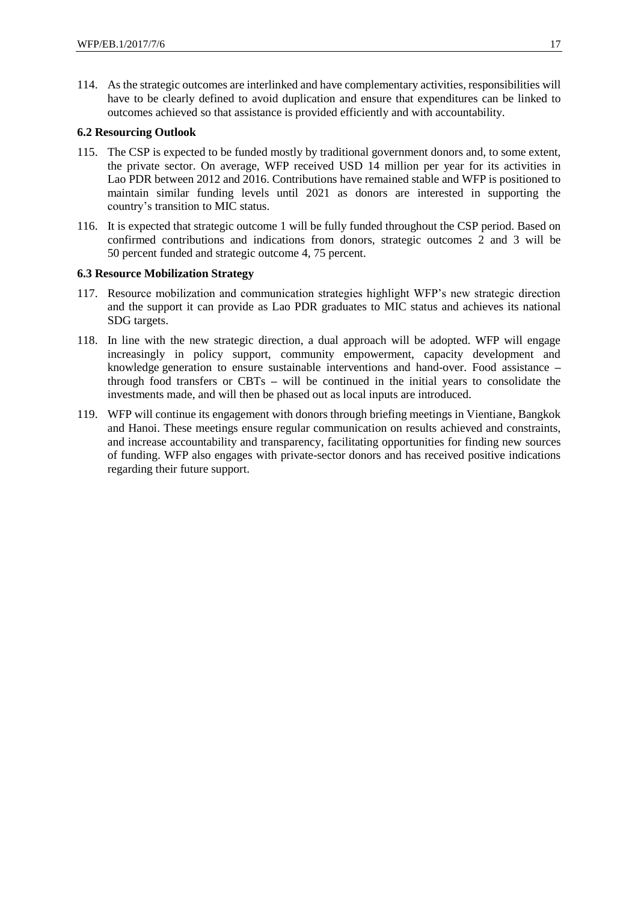114. As the strategic outcomes are interlinked and have complementary activities, responsibilities will have to be clearly defined to avoid duplication and ensure that expenditures can be linked to outcomes achieved so that assistance is provided efficiently and with accountability.

#### **6.2 Resourcing Outlook**

- 115. The CSP is expected to be funded mostly by traditional government donors and, to some extent, the private sector. On average, WFP received USD 14 million per year for its activities in Lao PDR between 2012 and 2016. Contributions have remained stable and WFP is positioned to maintain similar funding levels until 2021 as donors are interested in supporting the country's transition to MIC status.
- 116. It is expected that strategic outcome 1 will be fully funded throughout the CSP period. Based on confirmed contributions and indications from donors, strategic outcomes 2 and 3 will be 50 percent funded and strategic outcome 4, 75 percent.

#### **6.3 Resource Mobilization Strategy**

- 117. Resource mobilization and communication strategies highlight WFP's new strategic direction and the support it can provide as Lao PDR graduates to MIC status and achieves its national SDG targets.
- 118. In line with the new strategic direction, a dual approach will be adopted. WFP will engage increasingly in policy support, community empowerment, capacity development and knowledge generation to ensure sustainable interventions and hand-over. Food assistance **–** through food transfers or CBTs **–** will be continued in the initial years to consolidate the investments made, and will then be phased out as local inputs are introduced.
- 119. WFP will continue its engagement with donors through briefing meetings in Vientiane, Bangkok and Hanoi. These meetings ensure regular communication on results achieved and constraints, and increase accountability and transparency, facilitating opportunities for finding new sources of funding. WFP also engages with private-sector donors and has received positive indications regarding their future support.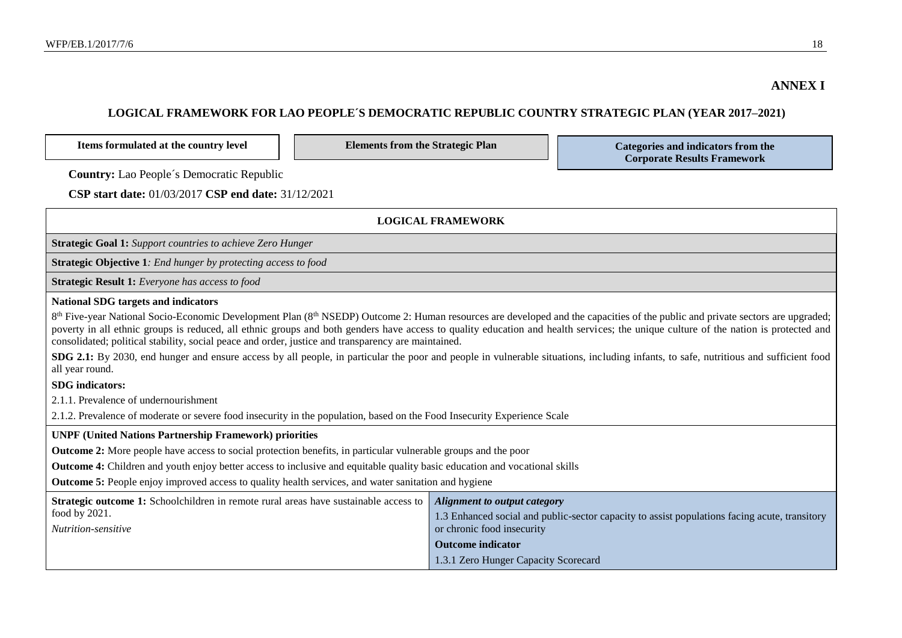## **LOGICAL FRAMEWORK FOR LAO PEOPLE´S DEMOCRATIC REPUBLIC COUNTRY STRATEGIC PLAN (YEAR 2017–2021)**

Items formulated at the country level **Elements from the Strategic Plan Categories and indicators from the** 

**Corporate Results Framework**

**Country:** Lao People´s Democratic Republic

**CSP start date:** 01/03/2017 **CSP end date:** 31/12/2021

| <b>LOGICAL FRAMEWORK</b>                                                                                                                                                                                                                             |                                                                                                                                                                                                                                                                                                                                                                                               |  |  |
|------------------------------------------------------------------------------------------------------------------------------------------------------------------------------------------------------------------------------------------------------|-----------------------------------------------------------------------------------------------------------------------------------------------------------------------------------------------------------------------------------------------------------------------------------------------------------------------------------------------------------------------------------------------|--|--|
| <b>Strategic Goal 1:</b> Support countries to achieve Zero Hunger                                                                                                                                                                                    |                                                                                                                                                                                                                                                                                                                                                                                               |  |  |
| <b>Strategic Objective 1</b> : End hunger by protecting access to food                                                                                                                                                                               |                                                                                                                                                                                                                                                                                                                                                                                               |  |  |
| Strategic Result 1: Everyone has access to food                                                                                                                                                                                                      |                                                                                                                                                                                                                                                                                                                                                                                               |  |  |
| <b>National SDG targets and indicators</b>                                                                                                                                                                                                           |                                                                                                                                                                                                                                                                                                                                                                                               |  |  |
| consolidated; political stability, social peace and order, justice and transparency are maintained.                                                                                                                                                  | 8 <sup>th</sup> Five-year National Socio-Economic Development Plan (8 <sup>th</sup> NSEDP) Outcome 2: Human resources are developed and the capacities of the public and private sectors are upgraded;<br>poverty in all ethnic groups is reduced, all ethnic groups and both genders have access to quality education and health services; the unique culture of the nation is protected and |  |  |
| all year round.                                                                                                                                                                                                                                      | SDG 2.1: By 2030, end hunger and ensure access by all people, in particular the poor and people in vulnerable situations, including infants, to safe, nutritious and sufficient food                                                                                                                                                                                                          |  |  |
| <b>SDG</b> indicators:                                                                                                                                                                                                                               |                                                                                                                                                                                                                                                                                                                                                                                               |  |  |
| 2.1.1. Prevalence of undernourishment                                                                                                                                                                                                                |                                                                                                                                                                                                                                                                                                                                                                                               |  |  |
| 2.1.2. Prevalence of moderate or severe food insecurity in the population, based on the Food Insecurity Experience Scale                                                                                                                             |                                                                                                                                                                                                                                                                                                                                                                                               |  |  |
| <b>UNPF (United Nations Partnership Framework) priorities</b>                                                                                                                                                                                        |                                                                                                                                                                                                                                                                                                                                                                                               |  |  |
| <b>Outcome 2:</b> More people have access to social protection benefits, in particular vulnerable groups and the poor                                                                                                                                |                                                                                                                                                                                                                                                                                                                                                                                               |  |  |
| <b>Outcome 4:</b> Children and youth enjoy better access to inclusive and equitable quality basic education and vocational skills                                                                                                                    |                                                                                                                                                                                                                                                                                                                                                                                               |  |  |
| <b>Outcome 5:</b> People enjoy improved access to quality health services, and water sanitation and hygiene                                                                                                                                          |                                                                                                                                                                                                                                                                                                                                                                                               |  |  |
| <b>Strategic outcome 1:</b> Schoolchildren in remote rural areas have sustainable access to<br><b>Alignment to output category</b><br>food by 2021.<br>1.3 Enhanced social and public-sector capacity to assist populations facing acute, transitory |                                                                                                                                                                                                                                                                                                                                                                                               |  |  |
| Nutrition-sensitive<br>or chronic food insecurity                                                                                                                                                                                                    |                                                                                                                                                                                                                                                                                                                                                                                               |  |  |
|                                                                                                                                                                                                                                                      | <b>Outcome indicator</b>                                                                                                                                                                                                                                                                                                                                                                      |  |  |
|                                                                                                                                                                                                                                                      | 1.3.1 Zero Hunger Capacity Scorecard                                                                                                                                                                                                                                                                                                                                                          |  |  |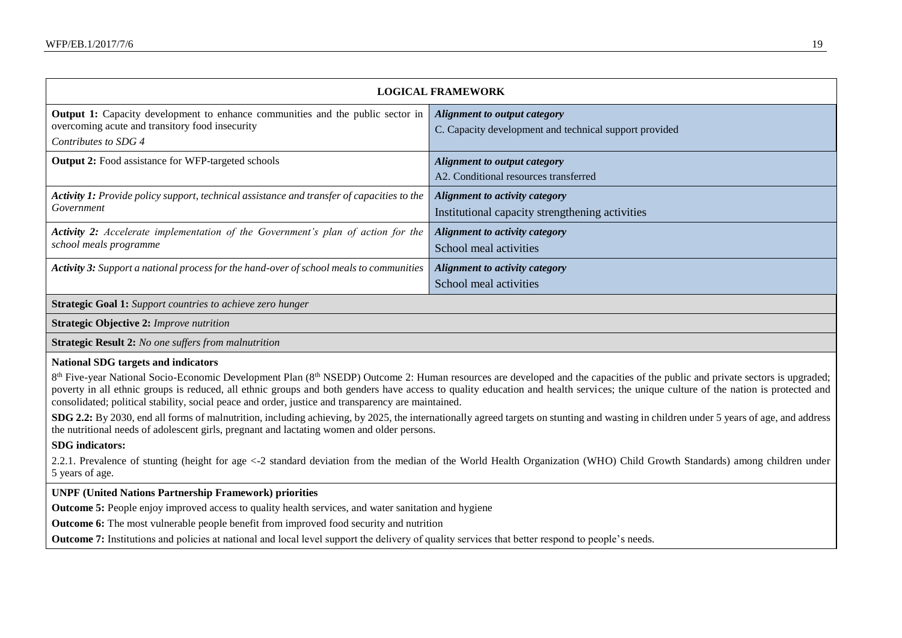| <b>LOGICAL FRAMEWORK</b>                                                                                                                                                                                                                                                                                                                                                                                                                                                                                                                                                                                                                                                                                                                                                                                                                                                                                                                                                                                                                                            |                                                                                               |  |  |
|---------------------------------------------------------------------------------------------------------------------------------------------------------------------------------------------------------------------------------------------------------------------------------------------------------------------------------------------------------------------------------------------------------------------------------------------------------------------------------------------------------------------------------------------------------------------------------------------------------------------------------------------------------------------------------------------------------------------------------------------------------------------------------------------------------------------------------------------------------------------------------------------------------------------------------------------------------------------------------------------------------------------------------------------------------------------|-----------------------------------------------------------------------------------------------|--|--|
| <b>Output 1:</b> Capacity development to enhance communities and the public sector in<br>overcoming acute and transitory food insecurity<br>Contributes to SDG 4                                                                                                                                                                                                                                                                                                                                                                                                                                                                                                                                                                                                                                                                                                                                                                                                                                                                                                    | <b>Alignment to output category</b><br>C. Capacity development and technical support provided |  |  |
| <b>Output 2:</b> Food assistance for WFP-targeted schools                                                                                                                                                                                                                                                                                                                                                                                                                                                                                                                                                                                                                                                                                                                                                                                                                                                                                                                                                                                                           | <b>Alignment to output category</b><br>A2. Conditional resources transferred                  |  |  |
| Activity 1: Provide policy support, technical assistance and transfer of capacities to the<br>Government                                                                                                                                                                                                                                                                                                                                                                                                                                                                                                                                                                                                                                                                                                                                                                                                                                                                                                                                                            | <b>Alignment to activity category</b><br>Institutional capacity strengthening activities      |  |  |
| <b>Activity 2:</b> Accelerate implementation of the Government's plan of action for the<br>school meals programme                                                                                                                                                                                                                                                                                                                                                                                                                                                                                                                                                                                                                                                                                                                                                                                                                                                                                                                                                   | Alignment to activity category<br>School meal activities                                      |  |  |
| Activity 3: Support a national process for the hand-over of school meals to communities                                                                                                                                                                                                                                                                                                                                                                                                                                                                                                                                                                                                                                                                                                                                                                                                                                                                                                                                                                             | <b>Alignment to activity category</b><br>School meal activities                               |  |  |
| <b>Strategic Goal 1:</b> Support countries to achieve zero hunger                                                                                                                                                                                                                                                                                                                                                                                                                                                                                                                                                                                                                                                                                                                                                                                                                                                                                                                                                                                                   |                                                                                               |  |  |
| <b>Strategic Objective 2: Improve nutrition</b>                                                                                                                                                                                                                                                                                                                                                                                                                                                                                                                                                                                                                                                                                                                                                                                                                                                                                                                                                                                                                     |                                                                                               |  |  |
| <b>Strategic Result 2:</b> No one suffers from malnutrition                                                                                                                                                                                                                                                                                                                                                                                                                                                                                                                                                                                                                                                                                                                                                                                                                                                                                                                                                                                                         |                                                                                               |  |  |
| <b>National SDG targets and indicators</b><br>8 <sup>th</sup> Five-year National Socio-Economic Development Plan (8 <sup>th</sup> NSEDP) Outcome 2: Human resources are developed and the capacities of the public and private sectors is upgraded;<br>poverty in all ethnic groups is reduced, all ethnic groups and both genders have access to quality education and health services; the unique culture of the nation is protected and<br>consolidated; political stability, social peace and order, justice and transparency are maintained.<br>SDG 2.2: By 2030, end all forms of malnutrition, including achieving, by 2025, the internationally agreed targets on stunting and wasting in children under 5 years of age, and address<br>the nutritional needs of adolescent girls, pregnant and lactating women and older persons.<br><b>SDG</b> indicators:<br>2.2.1. Prevalence of stunting (height for age <-2 standard deviation from the median of the World Health Organization (WHO) Child Growth Standards) among children under<br>5 years of age. |                                                                                               |  |  |
| <b>UNPF (United Nations Partnership Framework) priorities</b>                                                                                                                                                                                                                                                                                                                                                                                                                                                                                                                                                                                                                                                                                                                                                                                                                                                                                                                                                                                                       |                                                                                               |  |  |
| <b>Outcome 5:</b> People enjoy improved access to quality health services, and water sanitation and hygiene                                                                                                                                                                                                                                                                                                                                                                                                                                                                                                                                                                                                                                                                                                                                                                                                                                                                                                                                                         |                                                                                               |  |  |

**Outcome 6:** The most vulnerable people benefit from improved food security and nutrition

Outcome 7: Institutions and policies at national and local level support the delivery of quality services that better respond to people's needs.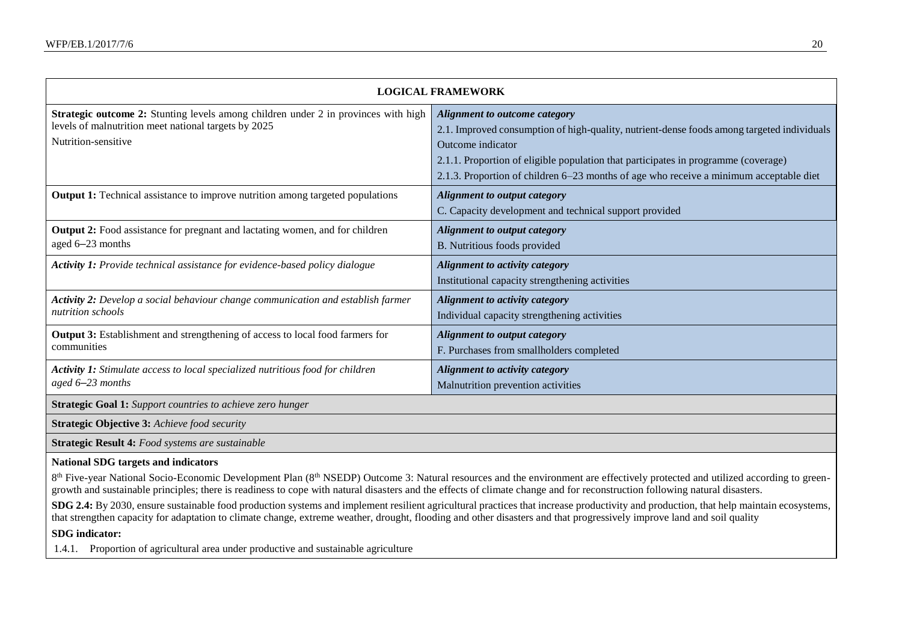| <b>LOGICAL FRAMEWORK</b>                                                                                                                                                 |                                                                                                                                                                                                                                                                                                                                         |  |  |  |
|--------------------------------------------------------------------------------------------------------------------------------------------------------------------------|-----------------------------------------------------------------------------------------------------------------------------------------------------------------------------------------------------------------------------------------------------------------------------------------------------------------------------------------|--|--|--|
| <b>Strategic outcome 2:</b> Stunting levels among children under 2 in provinces with high<br>levels of malnutrition meet national targets by 2025<br>Nutrition-sensitive | <b>Alignment to outcome category</b><br>2.1. Improved consumption of high-quality, nutrient-dense foods among targeted individuals<br>Outcome indicator<br>2.1.1. Proportion of eligible population that participates in programme (coverage)<br>2.1.3. Proportion of children 6–23 months of age who receive a minimum acceptable diet |  |  |  |
| <b>Output 1:</b> Technical assistance to improve nutrition among targeted populations                                                                                    | <b>Alignment to output category</b><br>C. Capacity development and technical support provided                                                                                                                                                                                                                                           |  |  |  |
| Output 2: Food assistance for pregnant and lactating women, and for children<br>aged 6-23 months                                                                         | <b>Alignment to output category</b><br>B. Nutritious foods provided                                                                                                                                                                                                                                                                     |  |  |  |
| Activity 1: Provide technical assistance for evidence-based policy dialogue                                                                                              | Alignment to activity category<br>Institutional capacity strengthening activities                                                                                                                                                                                                                                                       |  |  |  |
| Activity 2: Develop a social behaviour change communication and establish farmer<br>nutrition schools                                                                    | Alignment to activity category<br>Individual capacity strengthening activities                                                                                                                                                                                                                                                          |  |  |  |
| Output 3: Establishment and strengthening of access to local food farmers for<br>communities                                                                             | <b>Alignment to output category</b><br>F. Purchases from smallholders completed                                                                                                                                                                                                                                                         |  |  |  |
| Activity 1: Stimulate access to local specialized nutritious food for children<br>aged 6–23 months                                                                       | Alignment to activity category<br>Malnutrition prevention activities                                                                                                                                                                                                                                                                    |  |  |  |
| <b>Strategic Goal 1:</b> Support countries to achieve zero hunger                                                                                                        |                                                                                                                                                                                                                                                                                                                                         |  |  |  |
| <b>Strategic Objective 3: Achieve food security</b>                                                                                                                      |                                                                                                                                                                                                                                                                                                                                         |  |  |  |
| Strategic Result 4: Food systems are sustainable                                                                                                                         |                                                                                                                                                                                                                                                                                                                                         |  |  |  |
| <b>National SDG targets and indicators</b>                                                                                                                               | 8 <sup>th</sup> Five-year National Socio-Economic Development Plan (8 <sup>th</sup> NSEDP) Outcome 3: Natural resources and the environment are effectively protected and utilized according to green-                                                                                                                                  |  |  |  |

growth and sustainable principles; there is readiness to cope with natural disasters and the effects of climate change and for reconstruction following natural disasters.

**SDG** 2.4: By 2030, ensure sustainable food production systems and implement resilient agricultural practices that increase productivity and production, that help maintain ecosystems, that strengthen capacity for adaptation to climate change, extreme weather, drought, flooding and other disasters and that progressively improve land and soil quality

## **SDG indicator:**

1.4.1. Proportion of agricultural area under productive and sustainable agriculture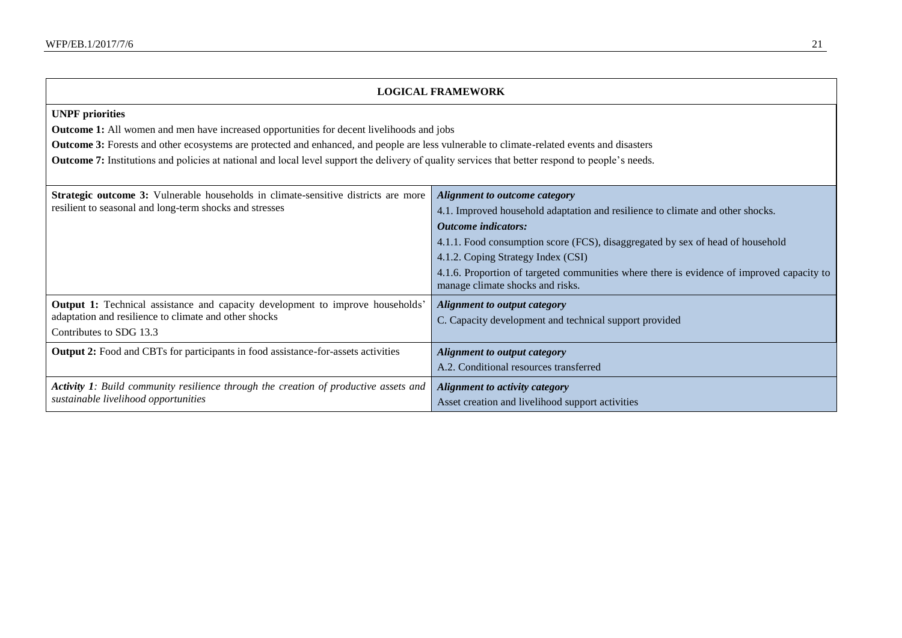| <b>LOGICAL FRAMEWORK</b>                                                                                                                                                                                                                                                                                                                                                                                                            |                                                                                                                                                                                                                                                                                                                                                                                                        |  |  |
|-------------------------------------------------------------------------------------------------------------------------------------------------------------------------------------------------------------------------------------------------------------------------------------------------------------------------------------------------------------------------------------------------------------------------------------|--------------------------------------------------------------------------------------------------------------------------------------------------------------------------------------------------------------------------------------------------------------------------------------------------------------------------------------------------------------------------------------------------------|--|--|
| <b>UNPF</b> priorities<br><b>Outcome 1:</b> All women and men have increased opportunities for decent livelihoods and jobs<br>Outcome 3: Forests and other ecosystems are protected and enhanced, and people are less vulnerable to climate-related events and disasters<br><b>Outcome 7:</b> Institutions and policies at national and local level support the delivery of quality services that better respond to people's needs. |                                                                                                                                                                                                                                                                                                                                                                                                        |  |  |
| Strategic outcome 3: Vulnerable households in climate-sensitive districts are more<br>resilient to seasonal and long-term shocks and stresses                                                                                                                                                                                                                                                                                       | Alignment to outcome category<br>4.1. Improved household adaptation and resilience to climate and other shocks.<br><b>Outcome</b> indicators:<br>4.1.1. Food consumption score (FCS), disaggregated by sex of head of household<br>4.1.2. Coping Strategy Index (CSI)<br>4.1.6. Proportion of targeted communities where there is evidence of improved capacity to<br>manage climate shocks and risks. |  |  |
| <b>Output 1:</b> Technical assistance and capacity development to improve households'<br>adaptation and resilience to climate and other shocks<br>Contributes to SDG 13.3                                                                                                                                                                                                                                                           | <b>Alignment to output category</b><br>C. Capacity development and technical support provided                                                                                                                                                                                                                                                                                                          |  |  |
| Output 2: Food and CBTs for participants in food assistance-for-assets activities                                                                                                                                                                                                                                                                                                                                                   | <b>Alignment to output category</b><br>A.2. Conditional resources transferred                                                                                                                                                                                                                                                                                                                          |  |  |
| <b>Activity 1:</b> Build community resilience through the creation of productive assets and<br>sustainable livelihood opportunities                                                                                                                                                                                                                                                                                                 | Alignment to activity category<br>Asset creation and livelihood support activities                                                                                                                                                                                                                                                                                                                     |  |  |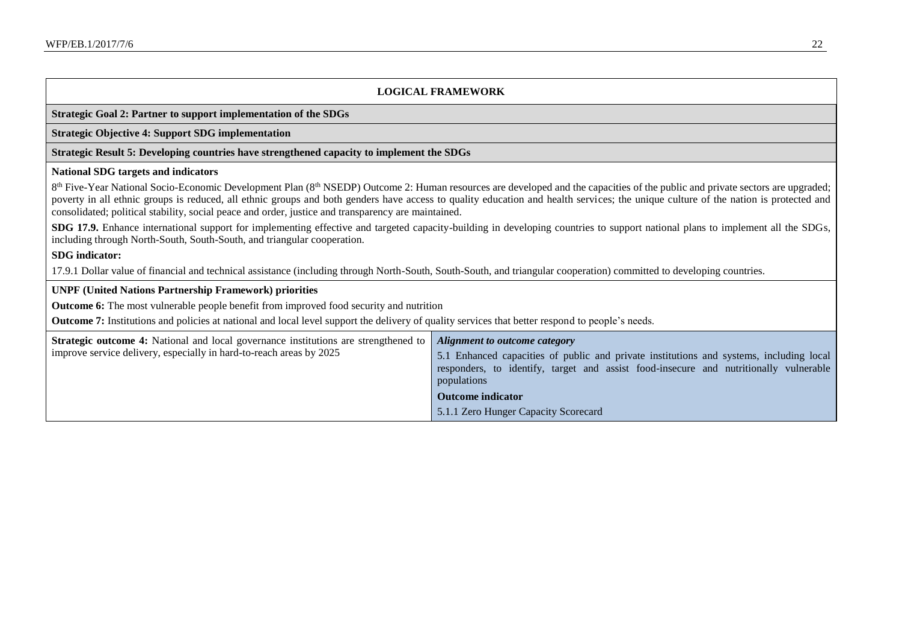#### **LOGICAL FRAMEWORK**

#### **Strategic Goal 2: Partner to support implementation of the SDGs**

#### **Strategic Objective 4: Support SDG implementation**

#### **Strategic Result 5: Developing countries have strengthened capacity to implement the SDGs**

#### **National SDG targets and indicators**

8<sup>th</sup> Five-Year National Socio-Economic Development Plan (8<sup>th</sup> NSEDP) Outcome 2: Human resources are developed and the capacities of the public and private sectors are upgraded; poverty in all ethnic groups is reduced, all ethnic groups and both genders have access to quality education and health services; the unique culture of the nation is protected and consolidated; political stability, social peace and order, justice and transparency are maintained.

**SDG 17.9.** Enhance international support for implementing effective and targeted capacity-building in developing countries to support national plans to implement all the SDGs, including through North-South, South-South, and triangular cooperation.

#### **SDG indicator:**

17.9.1 Dollar value of financial and technical assistance (including through North-South, South-South, and triangular cooperation) committed to developing countries.

#### **UNPF (United Nations Partnership Framework) priorities**

**Outcome 6:** The most vulnerable people benefit from improved food security and nutrition

**Outcome 7:** Institutions and policies at national and local level support the delivery of quality services that better respond to people's needs.

| <b>Strategic outcome 4:</b> National and local governance institutions are strengthened to | Alignment to outcome category                                                           |
|--------------------------------------------------------------------------------------------|-----------------------------------------------------------------------------------------|
| improve service delivery, especially in hard-to-reach areas by 2025                        | 5.1 Enhanced capacities of public and private institutions and systems, including local |
|                                                                                            | responders, to identify, target and assist food-insecure and nutritionally vulnerable   |
|                                                                                            | populations                                                                             |
|                                                                                            | <b>Outcome indicator</b>                                                                |
|                                                                                            | 5.1.1 Zero Hunger Capacity Scorecard                                                    |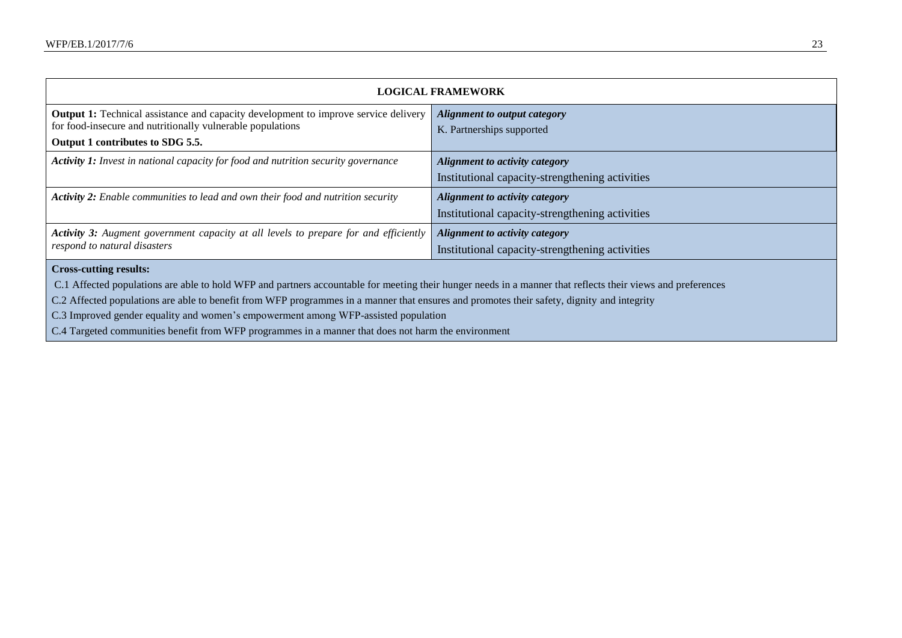| <b>LOGICAL FRAMEWORK</b>                                                                                                                                    |                                                 |  |  |
|-------------------------------------------------------------------------------------------------------------------------------------------------------------|-------------------------------------------------|--|--|
| <b>Output 1:</b> Technical assistance and capacity development to improve service delivery<br>for food-insecure and nutritionally vulnerable populations    | Alignment to output category                    |  |  |
| Output 1 contributes to SDG 5.5.                                                                                                                            | K. Partnerships supported                       |  |  |
| Activity 1: Invest in national capacity for food and nutrition security governance                                                                          | Alignment to activity category                  |  |  |
|                                                                                                                                                             | Institutional capacity-strengthening activities |  |  |
| <b>Activity 2:</b> Enable communities to lead and own their food and nutrition security                                                                     | Alignment to activity category                  |  |  |
|                                                                                                                                                             | Institutional capacity-strengthening activities |  |  |
| <b>Activity 3:</b> Augment government capacity at all levels to prepare for and efficiently                                                                 | Alignment to activity category                  |  |  |
| respond to natural disasters                                                                                                                                | Institutional capacity-strengthening activities |  |  |
| <b>Cross-cutting results:</b>                                                                                                                               |                                                 |  |  |
| C.1 Affected populations are able to hold WFP and partners accountable for meeting their hunger needs in a manner that reflects their views and preferences |                                                 |  |  |
| C.2 Affected populations are able to benefit from WFP programmes in a manner that ensures and promotes their safety, dignity and integrity                  |                                                 |  |  |

C.3 Improved gender equality and women's empowerment among WFP-assisted population

C.4 Targeted communities benefit from WFP programmes in a manner that does not harm the environment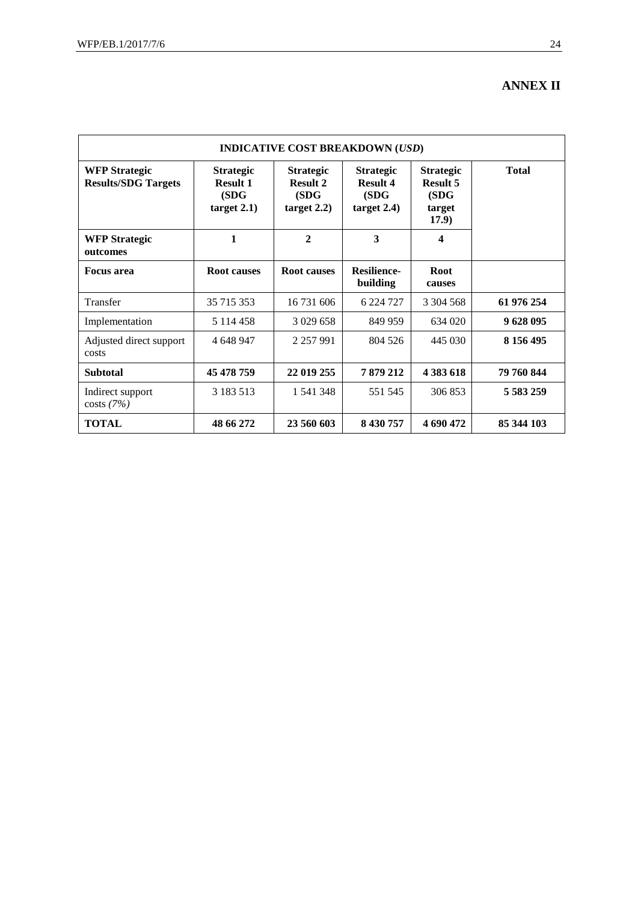## **ANNEX II**

| <b>INDICATIVE COST BREAKDOWN (USD)</b>             |                                                             |                                                                |                                                             |                                                                 |               |  |
|----------------------------------------------------|-------------------------------------------------------------|----------------------------------------------------------------|-------------------------------------------------------------|-----------------------------------------------------------------|---------------|--|
| <b>WFP Strategic</b><br><b>Results/SDG Targets</b> | <b>Strategic</b><br><b>Result 1</b><br>(SDG)<br>target 2.1) | <b>Strategic</b><br><b>Result 2</b><br>(SDG)<br>target $2.2$ ) | <b>Strategic</b><br><b>Result 4</b><br>(SDG)<br>target 2.4) | <b>Strategic</b><br><b>Result 5</b><br>(SDG)<br>target<br>17.9) | <b>Total</b>  |  |
| <b>WFP Strategic</b><br>outcomes                   | 1                                                           | $\overline{2}$                                                 | 3                                                           | $\overline{\mathbf{4}}$                                         |               |  |
| <b>Focus area</b>                                  | <b>Root causes</b>                                          | <b>Root causes</b>                                             | <b>Resilience-</b><br>building                              | <b>Root</b><br>causes                                           |               |  |
| Transfer                                           | 35 715 353                                                  | 16 731 606                                                     | 6 224 727                                                   | 3 304 568                                                       | 61 976 254    |  |
| Implementation                                     | 5 1 1 4 4 5 8                                               | 3 0 29 6 58                                                    | 849 959                                                     | 634 020                                                         | 9628095       |  |
| Adjusted direct support<br>costs                   | 4 648 947                                                   | 2 2 5 7 9 9 1                                                  | 804 526                                                     | 445 030                                                         | 8 156 495     |  |
| <b>Subtotal</b>                                    | 45 478 759                                                  | 22 019 255                                                     | 7879212                                                     | 4 383 618                                                       | 79 760 844    |  |
| Indirect support<br>costs(7%)                      | 3 183 5 13                                                  | 1 541 348                                                      | 551 545                                                     | 306 853                                                         | 5 5 8 3 2 5 9 |  |
| <b>TOTAL</b>                                       | 48 66 272                                                   | 23 560 603                                                     | 8 430 757                                                   | 4 690 472                                                       | 85 344 103    |  |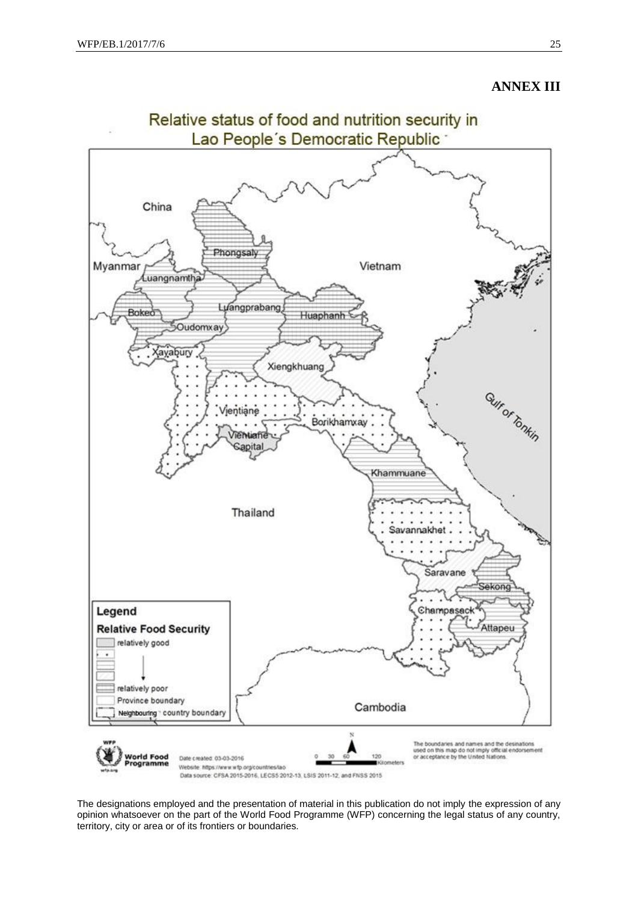## **ANNEX III**



The designations employed and the presentation of material in this publication do not imply the expression of any opinion whatsoever on the part of the World Food Programme (WFP) concerning the legal status of any country, territory, city or area or of its frontiers or boundaries.